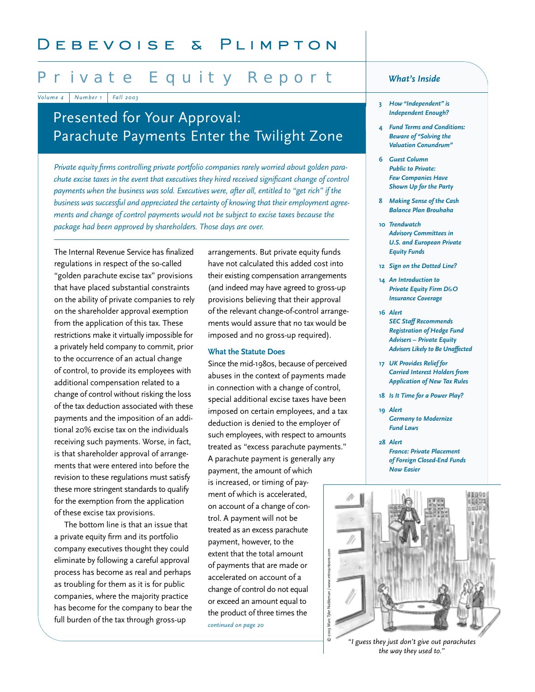# Private Equity Report

*Volume 4 Number 1 Fall 2003*

# Presented for Your Approval: Parachute Payments Enter the Twilight Zone

*Private equity firms controlling private portfolio companies rarely worried about golden parachute excise taxes in the event that executives they hired received significant change of control payments when the business was sold. Executives were, after all, entitled to "get rich" if the business was successful and appreciated the certainty of knowing that their employment agreements and change of control payments would not be subject to excise taxes because the package had been approved by shareholders. Those days are over.* 

The Internal Revenue Service has finalized regulations in respect of the so-called "golden parachute excise tax" provisions that have placed substantial constraints on the ability of private companies to rely on the shareholder approval exemption from the application of this tax. These restrictions make it virtually impossible for a privately held company to commit, prior to the occurrence of an actual change of control, to provide its employees with additional compensation related to a change of control without risking the loss of the tax deduction associated with these payments and the imposition of an additional 20% excise tax on the individuals receiving such payments. Worse, in fact, is that shareholder approval of arrangements that were entered into before the revision to these regulations must satisfy these more stringent standards to qualify for the exemption from the application of these excise tax provisions.

The bottom line is that an issue that a private equity firm and its portfolio company executives thought they could eliminate by following a careful approval process has become as real and perhaps as troubling for them as it is for public companies, where the majority practice has become for the company to bear the full burden of the tax through gross-up

arrangements. But private equity funds have not calculated this added cost into their existing compensation arrangements (and indeed may have agreed to gross-up provisions believing that their approval of the relevant change-of-control arrangements would assure that no tax would be imposed and no gross-up required).

### **What the Statute Does**

Since the mid-1980s, because of perceived abuses in the context of payments made in connection with a change of control, special additional excise taxes have been imposed on certain employees, and a tax deduction is denied to the employer of such employees, with respect to amounts treated as "excess parachute payments." A parachute payment is generally any payment, the amount of which is increased, or timing of payment of which is accelerated, on account of a change of control. A payment will not be treated as an excess parachute payment, however, to the extent that the total amount of payments that are made or accelerated on account of a change of control do not equal © 2003 Marc Tyler Nobleman or exceed an amount equal to the product of three times the *continued on page 20*

### *What's Inside*

- **3** *H0w "Independent" is Independent Enough?*
- **4** *Fund Terms and Conditions: Beware of "Solving the Valuation Conundrum"*
- **6** *Guest Column Public to Private: Few Companies Have Shown Up for the Party*
- **8** *Making Sense of the Cash Balance Plan Brouhaha*
- **10** *Trendwatch Advisory Committees in U.S. and European Private Equity Funds*
- **12** *Sign on the Dotted Line?*
- **14** *An Introduction to Private Equity Firm D&O Insurance Coverage*
- **16** *Alert SEC Staff Recommends Registration of Hedge Fund Advisers – Private Equity Advisers Likely to Be Unaffected*
- **17** *UK Provides Relief for Carried Interest Holders from Application of New Tax Rules*
- **18** *Is It Time for a Power Play?*
- **19** *Alert Germany to Modernize Fund Laws*
- **28** *Alert France: Private Placement of Foreign Closed-End Funds Now Easier*



*the way they used to."*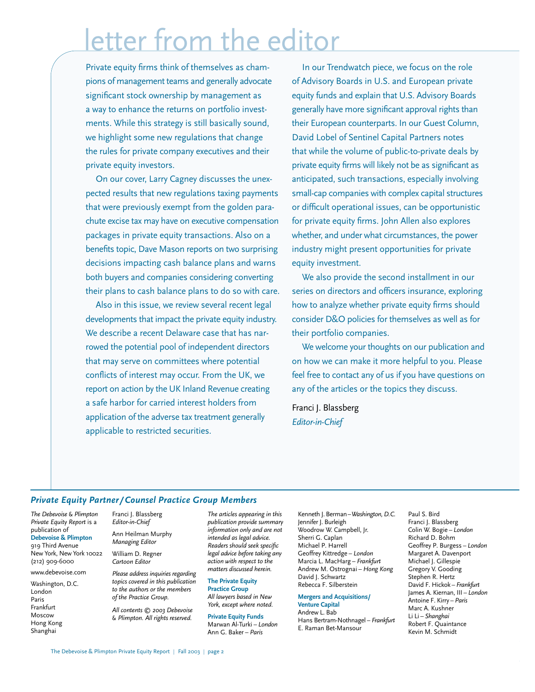# letter from the editor

Private equity firms think of themselves as champions of management teams and generally advocate significant stock ownership by management as a way to enhance the returns on portfolio investments. While this strategy is still basically sound, we highlight some new regulations that change the rules for private company executives and their private equity investors.

On our cover, Larry Cagney discusses the unexpected results that new regulations taxing payments that were previously exempt from the golden parachute excise tax may have on executive compensation packages in private equity transactions. Also on a benefits topic, Dave Mason reports on two surprising decisions impacting cash balance plans and warns both buyers and companies considering converting their plans to cash balance plans to do so with care.

Also in this issue, we review several recent legal developments that impact the private equity industry. We describe a recent Delaware case that has narrowed the potential pool of independent directors that may serve on committees where potential conflicts of interest may occur. From the UK, we report on action by the UK Inland Revenue creating a safe harbor for carried interest holders from application of the adverse tax treatment generally applicable to restricted securities.

In our Trendwatch piece, we focus on the role of Advisory Boards in U.S. and European private equity funds and explain that U.S. Advisory Boards generally have more significant approval rights than their European counterparts. In our Guest Column, David Lobel of Sentinel Capital Partners notes that while the volume of public-to-private deals by private equity firms will likely not be as significant as anticipated, such transactions, especially involving small-cap companies with complex capital structures or difficult operational issues, can be opportunistic for private equity firms. John Allen also explores whether, and under what circumstances, the power industry might present opportunities for private equity investment.

We also provide the second installment in our series on directors and officers insurance, exploring how to analyze whether private equity firms should consider D&O policies for themselves as well as for their portfolio companies.

We welcome your thoughts on our publication and on how we can make it more helpful to you. Please feel free to contact any of us if you have questions on any of the articles or the topics they discuss.

Franci J. Blassberg *Editor-in-Chief*

### *Private Equity Partner/ Counsel Practice Group Members*

*The Debevoise & Plimpton Private Equity Report* is a publication of **Debevoise & Plimpton** 919 Third Avenue New York, New York 10022 (212) 909-6000

www.debevoise.com

Washington, D.C. London Paris Frankfurt Moscow Hong Kong Shanghai

Franci J. Blassberg *Editor-in-Chief*

Ann Heilman Murphy *Managing Editor*

William D. Regner *Cartoon Editor*

*Please address inquiries regarding topics covered in this publication to the authors or the members of the Practice Group.* 

*All contents © 2003 Debevoise & Plimpton. All rights reserved.*

*The articles appearing in this publication provide summary information only and are not intended as legal advice. Readers should seek specific legal advice before taking any action with respect to the matters discussed herein.* 

**The Private Equity Practice Group** *All lawyers based in New York, except where noted.*

**Private Equity Funds** Marwan Al-Turki *– London* Ann G. Baker *– Paris*

Kenneth J. Berman*–Washington, D.C.* Jennifer J. Burleigh Woodrow W. Campbell, Jr. Sherri G. Caplan Michael P. Harrell Geoffrey Kittredge *– London* Marcia L. MacHarg *– Frankfurt* Andrew M. Ostrognai *– Hong Kong* David J. Schwartz Rebecca F. Silberstein

#### **Mergers and Acquisitions/ Venture Capital**

Andrew L. Bab Hans Bertram-Nothnagel *– Frankfurt* E. Raman Bet-Mansour

Paul S. Bird Franci J. Blassberg Colin W. Bogie *– London* Richard D. Bohm Geoffrey P. Burgess *– London* Margaret A. Davenport Michael J. Gillespie Gregory V. Gooding Stephen R. Hertz David F. Hickok *– Frankfurt* James A. Kiernan, III *– London* Antoine F. Kirry *– Paris* Marc A. Kushner Li Li *– Shanghai* Robert F. Quaintance Kevin M. Schmidt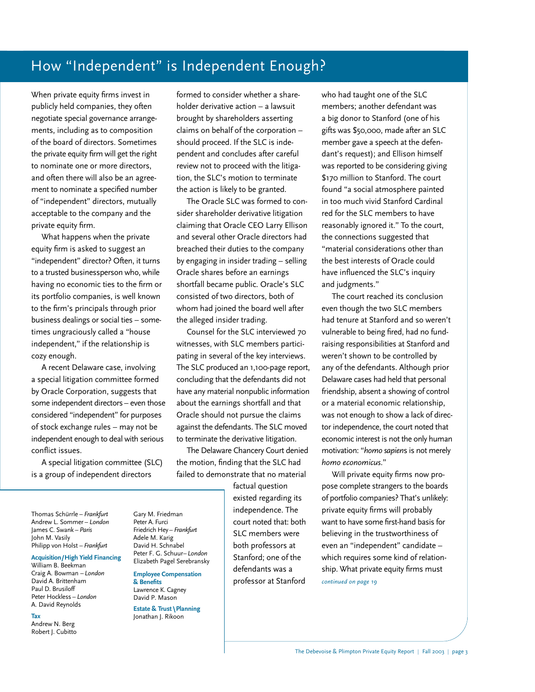# How "Independent" is Independent Enough?

When private equity firms invest in publicly held companies, they often negotiate special governance arrangements, including as to composition of the board of directors. Sometimes the private equity firm will get the right to nominate one or more directors, and often there will also be an agreement to nominate a specified number of "independent" directors, mutually acceptable to the company and the private equity firm.

What happens when the private equity firm is asked to suggest an "independent" director? Often, it turns to a trusted businessperson who, while having no economic ties to the firm or its portfolio companies, is well known to the firm's principals through prior business dealings or social ties – sometimes ungraciously called a "house independent," if the relationship is cozy enough.

A recent Delaware case, involving a special litigation committee formed by Oracle Corporation, suggests that some independent directors– even those considered "independent" for purposes of stock exchange rules – may not be independent enough to deal with serious conflict issues.

A special litigation committee (SLC) is a group of independent directors

formed to consider whether a shareholder derivative action – a lawsuit brought by shareholders asserting claims on behalf of the corporation – should proceed. If the SLC is independent and concludes after careful review not to proceed with the litigation, the SLC's motion to terminate the action is likely to be granted.

The Oracle SLC was formed to consider shareholder derivative litigation claiming that Oracle CEO Larry Ellison and several other Oracle directors had breached their duties to the company by engaging in insider trading – selling Oracle shares before an earnings shortfall became public. Oracle's SLC consisted of two directors, both of whom had joined the board well after the alleged insider trading.

Counsel for the SLC interviewed 70 witnesses, with SLC members participating in several of the key interviews. The SLC produced an 1,100-page report, concluding that the defendants did not have any material nonpublic information about the earnings shortfall and that Oracle should not pursue the claims against the defendants. The SLC moved to terminate the derivative litigation.

The Delaware Chancery Court denied the motion, finding that the SLC had failed to demonstrate that no material

Thomas Schürrle *– Frankfurt* Andrew L. Sommer *– London* James C. Swank *– Paris* John M. Vasily

Philipp von Holst *– Frankfurt*

**Acquisition/High Yield Financing**

William B. Beekman Craig A. Bowman *–London* David A. Brittenham Paul D. Brusiloff Peter Hockless *– London* A. David Reynolds

**Tax** Andrew N. Berg

Robert J. Cubitto

Gary M. Friedman Peter A. Furci Friedrich Hey*– Frankfurt* Adele M. Karig David H. Schnabel Peter F. G. Schuur*–London* Elizabeth Pagel Serebransky

> **Employee Compensation & Benefits** Lawrence K. Cagney David P. Mason

> **Estate & Trust \Planning** Jonathan J. Rikoon

factual question existed regarding its independence. The court noted that: both SLC members were both professors at Stanford; one of the defendants was a professor at Stanford

who had taught one of the SLC members; another defendant was a big donor to Stanford (one of his gifts was \$50,000, made after an SLC member gave a speech at the defendant's request); and Ellison himself was reported to be considering giving \$170 million to Stanford. The court found "a social atmosphere painted in too much vivid Stanford Cardinal red for the SLC members to have reasonably ignored it." To the court, the connections suggested that "material considerations other than the best interests of Oracle could have influenced the SLC's inquiry and judgments."

The court reached its conclusion even though the two SLC members had tenure at Stanford and so weren't vulnerable to being fired, had no fundraising responsibilities at Stanford and weren't shown to be controlled by any of the defendants. Although prior Delaware cases had held that personal friendship, absent a showing of control or a material economic relationship, was not enough to show a lack of director independence, the court noted that economic interest is not the only human motivation: "*homo sapien*s is not merely *homo economicus*."

Will private equity firms now propose complete strangers to the boards of portfolio companies? That's unlikely: private equity firms will probably want to have some first-hand basis for believing in the trustworthiness of even an "independent" candidate – which requires some kind of relationship. What private equity firms must *continued on page 19*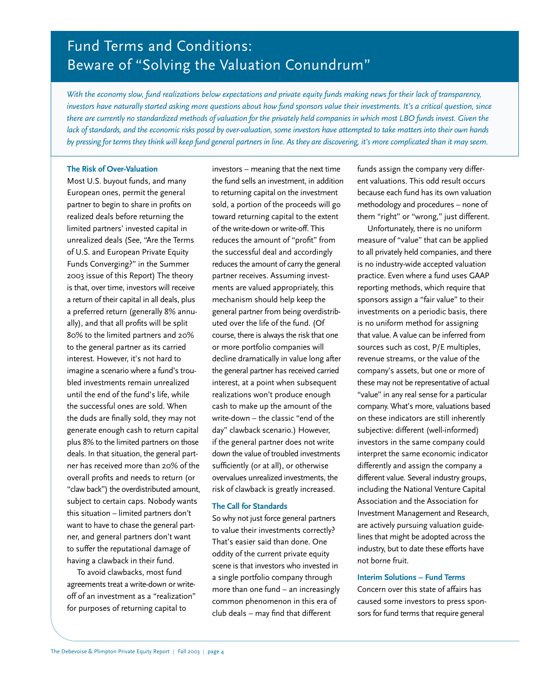# Fund Terms and Conditions: Beware of "Solving the Valuation Conundrum"

*With the economy slow, fund realizations below expectations and private equity funds making news for their lack of transparency, investors have naturally started asking more questions about how fund sponsors value their investments. It's a critical question, since there are currently no standardized methods of valuation for the privately held companies in which most LBO funds invest. Given the lack of standards, and the economic risks posed by over-valuation, some investors have attempted to take matters into their own hands by pressing for terms they think will keep fund general partners in line. As they are discovering, it's more complicated than it may seem.*

### **The Risk of Over-Valuation**

Most U.S. buyout funds, and many European ones, permit the general partner to begin to share in profits on realized deals before returning the limited partners' invested capital in unrealized deals (See, "Are the Terms of U.S. and European Private Equity Funds Converging?" in the Summer 2003 issue of this Report) The theory is that, over time, investors will receive a return of their capital in all deals, plus a preferred return (generally 8% annually), and that all profits will be split 80% to the limited partners and 20% to the general partner as its carried interest. However, it's not hard to imagine a scenario where a fund's troubled investments remain unrealized until the end of the fund's life, while the successful ones are sold. When the duds are finally sold, they may not generate enough cash to return capital plus 8% to the limited partners on those deals. In that situation, the general partner has received more than 20% of the overall profits and needs to return (or "claw back") the overdistributed amount, subject to certain caps. Nobody wants this situation – limited partners don't want to have to chase the general partner, and general partners don't want to suffer the reputational damage of having a clawback in their fund.

To avoid clawbacks, most fund agreements treat a write-down or writeoff of an investment as a "realization" for purposes of returning capital to

investors – meaning that the next time the fund sells an investment, in addition to returning capital on the investment sold, a portion of the proceeds will go toward returning capital to the extent of the write-down or write-off. This reduces the amount of "profit" from the successful deal and accordingly reduces the amount of carry the general partner receives. Assuming investments are valued appropriately, this mechanism should help keep the general partner from being overdistributed over the life of the fund. (Of course, there is always the risk that one or more portfolio companies will decline dramatically in value long after the general partner has received carried interest, at a point when subsequent realizations won't produce enough cash to make up the amount of the write-down – the classic "end of the day" clawback scenario.) However, if the general partner does not write down the value of troubled investments sufficiently (or at all), or otherwise overvalues unrealized investments, the risk of clawback is greatly increased.

### **The Call for Standards**

So why not just force general partners to value their investments correctly? That's easier said than done. One oddity of the current private equity scene is that investors who invested in a single portfolio company through more than one fund – an increasingly common phenomenon in this era of club deals – may find that different

funds assign the company very different valuations. This odd result occurs because each fund has its own valuation methodology and procedures – none of them "right" or "wrong," just different.

Unfortunately, there is no uniform measure of "value" that can be applied to all privately held companies, and there is no industry-wide accepted valuation practice. Even where a fund uses GAAP reporting methods, which require that sponsors assign a "fair value" to their investments on a periodic basis, there is no uniform method for assigning that value. A value can be inferred from sources such as cost, P/E multiples, revenue streams, or the value of the company's assets, but one or more of these may not be representative of actual "value" in any real sense for a particular company. What's more, valuations based on these indicators are still inherently subjective: different (well-informed) investors in the same company could interpret the same economic indicator differently and assign the company a different value. Several industry groups, including the National Venture Capital Association and the Association for Investment Management and Research, are actively pursuing valuation guidelines that might be adopted across the industry, but to date these efforts have not borne fruit.

### **Interim Solutions – Fund Terms**

Concern over this state of affairs has caused some investors to press sponsors for fund terms that require general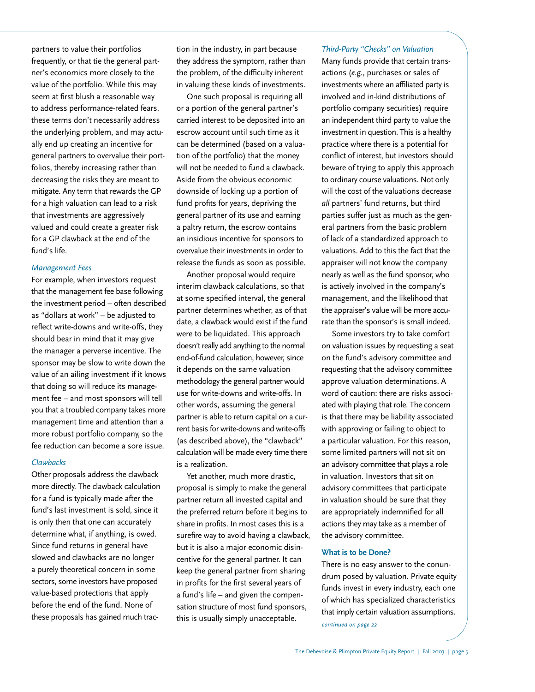partners to value their portfolios frequently, or that tie the general partner's economics more closely to the value of the portfolio. While this may seem at first blush a reasonable way to address performance-related fears, these terms don't necessarily address the underlying problem, and may actually end up creating an incentive for general partners to overvalue their portfolios, thereby increasing rather than decreasing the risks they are meant to mitigate. Any term that rewards the GP for a high valuation can lead to a risk that investments are aggressively valued and could create a greater risk for a GP clawback at the end of the fund's life.

#### *Management Fees*

For example, when investors request that the management fee base following the investment period – often described as "dollars at work" – be adjusted to reflect write-downs and write-offs, they should bear in mind that it may give the manager a perverse incentive. The sponsor may be slow to write down the value of an ailing investment if it knows that doing so will reduce its management fee – and most sponsors will tell you that a troubled company takes more management time and attention than a more robust portfolio company, so the fee reduction can become a sore issue.

#### *Clawbacks*

Other proposals address the clawback more directly. The clawback calculation for a fund is typically made after the fund's last investment is sold, since it is only then that one can accurately determine what, if anything, is owed. Since fund returns in general have slowed and clawbacks are no longer a purely theoretical concern in some sectors, some investors have proposed value-based protections that apply before the end of the fund. None of these proposals has gained much traction in the industry, in part because they address the symptom, rather than the problem, of the difficulty inherent in valuing these kinds of investments.

One such proposal is requiring all or a portion of the general partner's carried interest to be deposited into an escrow account until such time as it can be determined (based on a valuation of the portfolio) that the money will not be needed to fund a clawback. Aside from the obvious economic downside of locking up a portion of fund profits for years, depriving the general partner of its use and earning a paltry return, the escrow contains an insidious incentive for sponsors to overvalue their investments in order to release the funds as soon as possible.

Another proposal would require interim clawback calculations, so that at some specified interval, the general partner determines whether, as of that date, a clawback would exist if the fund were to be liquidated. This approach doesn't really add anything to the normal end-of-fund calculation, however, since it depends on the same valuation methodology the general partner would use for write-downs and write-offs. In other words, assuming the general partner is able to return capital on a current basis for write-downs and write-offs (as described above), the "clawback" calculation will be made every time there is a realization.

Yet another, much more drastic, proposal is simply to make the general partner return all invested capital and the preferred return before it begins to share in profits. In most cases this is a surefire way to avoid having a clawback, but it is also a major economic disincentive for the general partner. It can keep the general partner from sharing in profits for the first several years of a fund's life – and given the compensation structure of most fund sponsors, this is usually simply unacceptable.

#### *Third-Party "Checks" on Valuation*

Many funds provide that certain transactions (*e.g.*, purchases or sales of investments where an affiliated party is involved and in-kind distributions of portfolio company securities) require an independent third party to value the investment in question. This is a healthy practice where there is a potential for conflict of interest, but investors should beware of trying to apply this approach to ordinary course valuations. Not only will the cost of the valuations decrease *all* partners' fund returns, but third parties suffer just as much as the general partners from the basic problem of lack of a standardized approach to valuations. Add to this the fact that the appraiser will not know the company nearly as well as the fund sponsor, who is actively involved in the company's management, and the likelihood that the appraiser's value will be more accurate than the sponsor's is small indeed.

Some investors try to take comfort on valuation issues by requesting a seat on the fund's advisory committee and requesting that the advisory committee approve valuation determinations. A word of caution: there are risks associated with playing that role. The concern is that there may be liability associated with approving or failing to object to a particular valuation. For this reason, some limited partners will not sit on an advisory committee that plays a role in valuation. Investors that sit on advisory committees that participate in valuation should be sure that they are appropriately indemnified for all actions they may take as a member of the advisory committee.

#### **What is to be Done?**

There is no easy answer to the conundrum posed by valuation. Private equity funds invest in every industry, each one of which has specialized characteristics that imply certain valuation assumptions. *continued on page 22*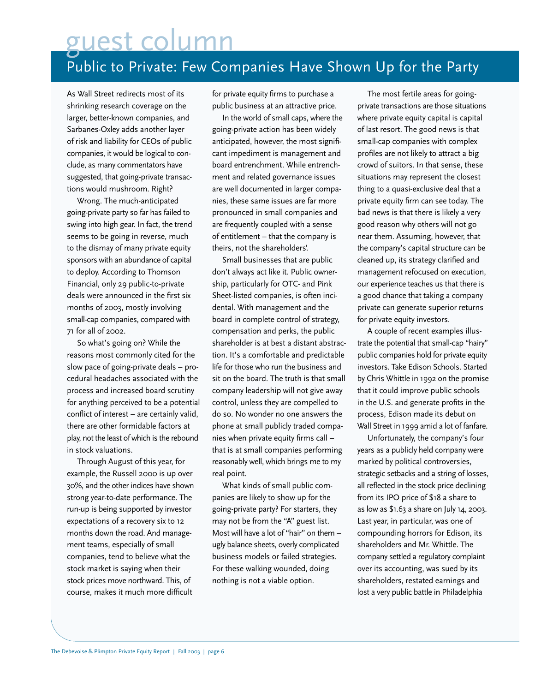Public to Private: Few Companies Have Shown Up for the Party guest column

As Wall Street redirects most of its shrinking research coverage on the larger, better-known companies, and Sarbanes-Oxley adds another layer of risk and liability for CEOs of public companies, it would be logical to conclude, as many commentators have suggested, that going-private transactions would mushroom. Right?

Wrong. The much-anticipated going-private party so far has failed to swing into high gear. In fact, the trend seems to be going in reverse, much to the dismay of many private equity sponsors with an abundance of capital to deploy. According to Thomson Financial, only 29 public-to-private deals were announced in the first six months of 2003, mostly involving small-cap companies, compared with 71 for all of 2002.

So what's going on? While the reasons most commonly cited for the slow pace of going-private deals – procedural headaches associated with the process and increased board scrutiny for anything perceived to be a potential conflict of interest – are certainly valid, there are other formidable factors at play, not the least of which is the rebound in stock valuations.

Through August of this year, for example, the Russell 2000 is up over 30%, and the other indices have shown strong year-to-date performance. The run-up is being supported by investor expectations of a recovery six to 12 months down the road. And management teams, especially of small companies, tend to believe what the stock market is saying when their stock prices move northward. This, of course, makes it much more difficult

for private equity firms to purchase a public business at an attractive price.

In the world of small caps, where the going-private action has been widely anticipated, however, the most significant impediment is management and board entrenchment. While entrenchment and related governance issues are well documented in larger companies, these same issues are far more pronounced in small companies and are frequently coupled with a sense of entitlement – that the company is theirs, not the shareholders'.

Small businesses that are public don't always act like it. Public ownership, particularly for OTC- and Pink Sheet-listed companies, is often incidental. With management and the board in complete control of strategy, compensation and perks, the public shareholder is at best a distant abstraction. It's a comfortable and predictable life for those who run the business and sit on the board. The truth is that small company leadership will not give away control, unless they are compelled to do so. No wonder no one answers the phone at small publicly traded companies when private equity firms call – that is at small companies performing reasonably well, which brings me to my real point.

What kinds of small public companies are likely to show up for the going-private party? For starters, they may not be from the "A" guest list. Most will have a lot of "hair" on them – ugly balance sheets, overly complicated business models or failed strategies. For these walking wounded, doing nothing is not a viable option.

The most fertile areas for goingprivate transactions are those situations where private equity capital is capital of last resort. The good news is that small-cap companies with complex profiles are not likely to attract a big crowd of suitors. In that sense, these situations may represent the closest thing to a quasi-exclusive deal that a private equity firm can see today. The bad news is that there is likely a very good reason why others will not go near them. Assuming, however, that the company's capital structure can be cleaned up, its strategy clarified and management refocused on execution, our experience teaches us that there is a good chance that taking a company private can generate superior returns for private equity investors.

A couple of recent examples illustrate the potential that small-cap "hairy" public companies hold for private equity investors. Take Edison Schools. Started by Chris Whittle in 1992 on the promise that it could improve public schools in the U.S. and generate profits in the process, Edison made its debut on Wall Street in 1999 amid a lot of fanfare.

Unfortunately, the company's four years as a publicly held company were marked by political controversies, strategic setbacks and a string of losses, all reflected in the stock price declining from its IPO price of \$18 a share to as low as \$1.63 a share on July 14, 2003. Last year, in particular, was one of compounding horrors for Edison, its shareholders and Mr. Whittle. The company settled a regulatory complaint over its accounting, was sued by its shareholders, restated earnings and lost a very public battle in Philadelphia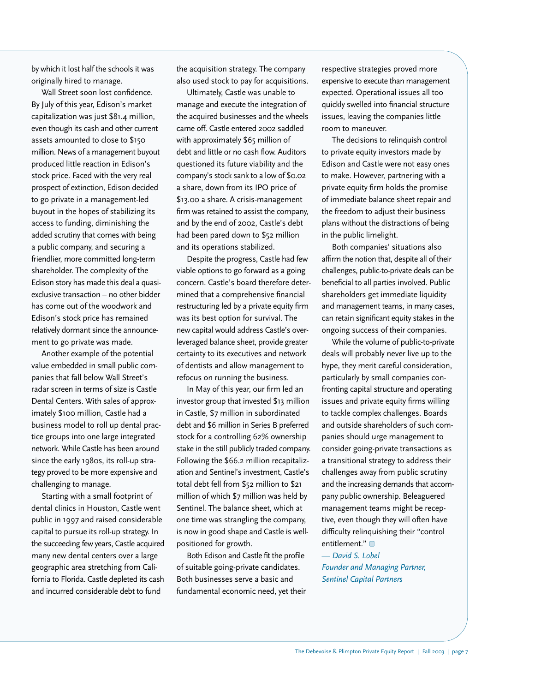by which it lost half the schools it was originally hired to manage.

Wall Street soon lost confidence. By July of this year, Edison's market capitalization was just \$81.4 million, even though its cash and other current assets amounted to close to \$150 million. News of a management buyout produced little reaction in Edison's stock price. Faced with the very real prospect of extinction, Edison decided to go private in a management-led buyout in the hopes of stabilizing its access to funding, diminishing the added scrutiny that comes with being a public company, and securing a friendlier, more committed long-term shareholder. The complexity of the Edison story has made this deal a quasiexclusive transaction – no other bidder has come out of the woodwork and Edison's stock price has remained relatively dormant since the announcement to go private was made.

Another example of the potential value embedded in small public companies that fall below Wall Street's radar screen in terms of size is Castle Dental Centers. With sales of approximately \$100 million, Castle had a business model to roll up dental practice groups into one large integrated network. While Castle has been around since the early 1980s, its roll-up strategy proved to be more expensive and challenging to manage.

Starting with a small footprint of dental clinics in Houston, Castle went public in 1997 and raised considerable capital to pursue its roll-up strategy. In the succeeding few years, Castle acquired many new dental centers over a large geographic area stretching from California to Florida. Castle depleted its cash and incurred considerable debt to fund

the acquisition strategy. The company also used stock to pay for acquisitions.

Ultimately, Castle was unable to manage and execute the integration of the acquired businesses and the wheels came off. Castle entered 2002 saddled with approximately \$65 million of debt and little or no cash flow. Auditors questioned its future viability and the company's stock sank to a low of \$0.02 a share, down from its IPO price of \$13.00 a share. A crisis-management firm was retained to assist the company, and by the end of 2002, Castle's debt had been pared down to \$52 million and its operations stabilized.

Despite the progress, Castle had few viable options to go forward as a going concern. Castle's board therefore determined that a comprehensive financial restructuring led by a private equity firm was its best option for survival. The new capital would address Castle's overleveraged balance sheet, provide greater certainty to its executives and network of dentists and allow management to refocus on running the business.

In May of this year, our firm led an investor group that invested \$13 million in Castle, \$7 million in subordinated debt and \$6 million in Series B preferred stock for a controlling 62% ownership stake in the still publicly traded company. Following the \$66.2 million recapitalization and Sentinel's investment, Castle's total debt fell from \$52 million to \$21 million of which \$7 million was held by Sentinel. The balance sheet, which at one time was strangling the company, is now in good shape and Castle is wellpositioned for growth.

Both Edison and Castle fit the profile of suitable going-private candidates. Both businesses serve a basic and fundamental economic need, yet their respective strategies proved more expensive to execute than management expected. Operational issues all too quickly swelled into financial structure issues, leaving the companies little room to maneuver.

The decisions to relinquish control to private equity investors made by Edison and Castle were not easy ones to make. However, partnering with a private equity firm holds the promise of immediate balance sheet repair and the freedom to adjust their business plans without the distractions of being in the public limelight.

Both companies' situations also affirm the notion that, despite all of their challenges, public-to-private deals can be beneficial to all parties involved. Public shareholders get immediate liquidity and management teams, in many cases, can retain significant equity stakes in the ongoing success of their companies.

While the volume of public-to-private deals will probably never live up to the hype, they merit careful consideration, particularly by small companies confronting capital structure and operating issues and private equity firms willing to tackle complex challenges. Boards and outside shareholders of such companies should urge management to consider going-private transactions as a transitional strategy to address their challenges away from public scrutiny and the increasing demands that accompany public ownership. Beleaguered management teams might be receptive, even though they will often have difficulty relinquishing their "control entitlement."

*— David S. Lobel Founder and Managing Partner, Sentinel Capital Partners*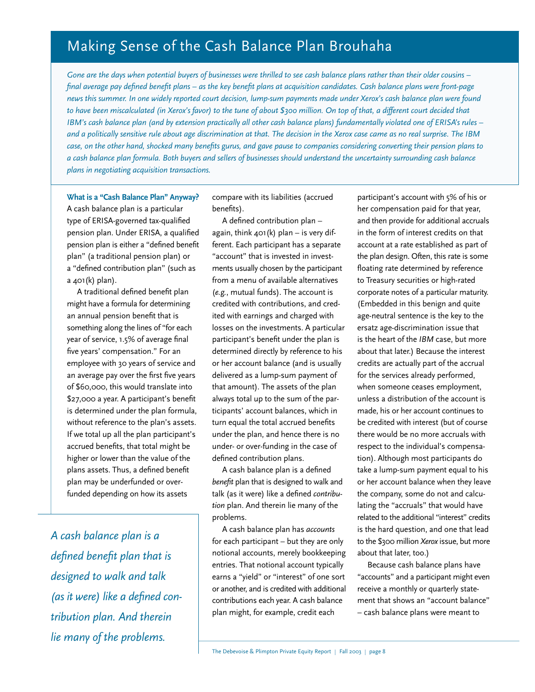# Making Sense of the Cash Balance Plan Brouhaha

*Gone are the days when potential buyers of businesses were thrilled to see cash balance plans rather than their older cousins – final average pay defined benefit plans – as the key benefit plans at acquisition candidates. Cash balance plans were front-page news this summer. In one widely reported court decision, lump-sum payments made under Xerox's cash balance plan were found to have been miscalculated (in Xerox's favor) to the tune of about \$300 million. On top of that, a different court decided that IBM's cash balance plan (and by extension practically all other cash balance plans) fundamentally violated one of ERISA's rules – and a politically sensitive rule about age discrimination at that. The decision in the Xerox case came as no real surprise. The IBM case, on the other hand, shocked many benefits gurus, and gave pause to companies considering converting their pension plans to a cash balance plan formula. Both buyers and sellers of businesses should understand the uncertainty surrounding cash balance plans in negotiating acquisition transactions.*

**What is a "Cash Balance Plan" Anyway?** A cash balance plan is a particular type of ERISA-governed tax-qualified pension plan. Under ERISA, a qualified pension plan is either a "defined benefit plan" (a traditional pension plan) or a "defined contribution plan" (such as a 401(k) plan).

A traditional defined benefit plan might have a formula for determining an annual pension benefit that is something along the lines of "for each year of service, 1.5% of average final five years' compensation." For an employee with 30 years of service and an average pay over the first five years of \$60,000, this would translate into \$27,000 a year. A participant's benefit is determined under the plan formula, without reference to the plan's assets. If we total up all the plan participant's accrued benefits, that total might be higher or lower than the value of the plans assets. Thus, a defined benefit plan may be underfunded or overfunded depending on how its assets

*A cash balance plan is a defined benefit plan that is designed to walk and talk (as it were) like a defined contribution plan. And therein lie many of the problems.*

compare with its liabilities (accrued benefits).

A defined contribution plan – again, think  $401(k)$  plan – is very different. Each participant has a separate "account" that is invested in investments usually chosen by the participant from a menu of available alternatives (*e.g.*, mutual funds). The account is credited with contributions, and credited with earnings and charged with losses on the investments. A particular participant's benefit under the plan is determined directly by reference to his or her account balance (and is usually delivered as a lump-sum payment of that amount). The assets of the plan always total up to the sum of the participants' account balances, which in turn equal the total accrued benefits under the plan, and hence there is no under- or over-funding in the case of defined contribution plans.

A cash balance plan is a defined *benefit* plan that is designed to walk and talk (as it were) like a defined *contribution* plan. And therein lie many of the problems.

A cash balance plan has *accounts* for each participant – but they are only notional accounts, merely bookkeeping entries. That notional account typically earns a "yield" or "interest" of one sort or another, and is credited with additional contributions each year. A cash balance plan might, for example, credit each

participant's account with 5% of his or her compensation paid for that year, and then provide for additional accruals in the form of interest credits on that account at a rate established as part of the plan design. Often, this rate is some floating rate determined by reference to Treasury securities or high-rated corporate notes of a particular maturity. (Embedded in this benign and quite age-neutral sentence is the key to the ersatz age-discrimination issue that is the heart of the *IBM* case, but more about that later.) Because the interest credits are actually part of the accrual for the services already performed, when someone ceases employment, unless a distribution of the account is made, his or her account continues to be credited with interest (but of course there would be no more accruals with respect to the individual's compensation). Although most participants do take a lump-sum payment equal to his or her account balance when they leave the company, some do not and calculating the "accruals" that would have related to the additional "interest" credits is the hard question, and one that lead to the \$300 million *Xerox*issue, but more about that later, too.)

Because cash balance plans have "accounts" and a participant might even receive a monthly or quarterly statement that shows an "account balance" – cash balance plans were meant to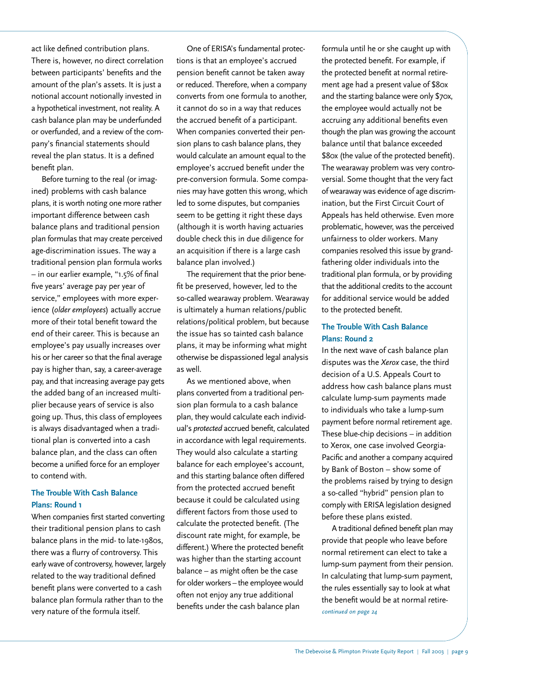act like defined contribution plans. There is, however, no direct correlation between participants' benefits and the amount of the plan's assets. It is just a notional account notionally invested in a hypothetical investment, not reality. A cash balance plan may be underfunded or overfunded, and a review of the company's financial statements should reveal the plan status. It is a defined benefit plan.

Before turning to the real (or imagined) problems with cash balance plans, it is worth noting one more rather important difference between cash balance plans and traditional pension plan formulas that may create perceived age-discrimination issues. The way a traditional pension plan formula works – in our earlier example, "1.5% of final five years' average pay per year of service," employees with more experience (*older employees*) actually accrue more of their total benefit toward the end of their career. This is because an employee's pay usually increases over his or her career so that the final average pay is higher than, say, a career-average pay, and that increasing average pay gets the added bang of an increased multiplier because years of service is also going up. Thus, this class of employees is always disadvantaged when a traditional plan is converted into a cash balance plan, and the class can often become a unified force for an employer to contend with.

### **The Trouble With Cash Balance Plans: Round 1**

When companies first started converting their traditional pension plans to cash balance plans in the mid- to late-1980s, there was a flurry of controversy. This early wave of controversy, however, largely related to the way traditional defined benefit plans were converted to a cash balance plan formula rather than to the very nature of the formula itself.

One of ERISA's fundamental protections is that an employee's accrued pension benefit cannot be taken away or reduced. Therefore, when a company converts from one formula to another, it cannot do so in a way that reduces the accrued benefit of a participant. When companies converted their pension plans to cash balance plans, they would calculate an amount equal to the employee's accrued benefit under the pre-conversion formula. Some companies may have gotten this wrong, which led to some disputes, but companies seem to be getting it right these days (although it is worth having actuaries double check this in due diligence for an acquisition if there is a large cash balance plan involved.)

The requirement that the prior benefit be preserved, however, led to the so-called wearaway problem. Wearaway is ultimately a human relations/public relations/political problem, but because the issue has so tainted cash balance plans, it may be informing what might otherwise be dispassioned legal analysis as well.

As we mentioned above, when plans converted from a traditional pension plan formula to a cash balance plan, they would calculate each individual's *protected* accrued benefit, calculated in accordance with legal requirements. They would also calculate a starting balance for each employee's account, and this starting balance often differed from the protected accrued benefit because it could be calculated using different factors from those used to calculate the protected benefit. (The discount rate might, for example, be different.) Where the protected benefit was higher than the starting account balance – as might often be the case for older workers–the employee would often not enjoy any true additional benefits under the cash balance plan

formula until he or she caught up with the protected benefit. For example, if the protected benefit at normal retirement age had a present value of \$80x and the starting balance were only \$70x, the employee would actually not be accruing any additional benefits even though the plan was growing the account balance until that balance exceeded \$80x (the value of the protected benefit). The wearaway problem was very controversial. Some thought that the very fact of wearaway was evidence of age discrimination, but the First Circuit Court of Appeals has held otherwise. Even more problematic, however, was the perceived unfairness to older workers. Many companies resolved this issue by grandfathering older individuals into the traditional plan formula, or by providing that the additional credits to the account for additional service would be added to the protected benefit.

### **The Trouble With Cash Balance Plans: Round 2**

In the next wave of cash balance plan disputes was the *Xerox* case, the third decision of a U.S. Appeals Court to address how cash balance plans must calculate lump-sum payments made to individuals who take a lump-sum payment before normal retirement age. These blue-chip decisions – in addition to Xerox, one case involved Georgia-Pacific and another a company acquired by Bank of Boston – show some of the problems raised by trying to design a so-called "hybrid" pension plan to comply with ERISA legislation designed before these plans existed.

A traditional defined benefit plan may provide that people who leave before normal retirement can elect to take a lump-sum payment from their pension. In calculating that lump-sum payment, the rules essentially say to look at what the benefit would be at normal retire*continued on page 24*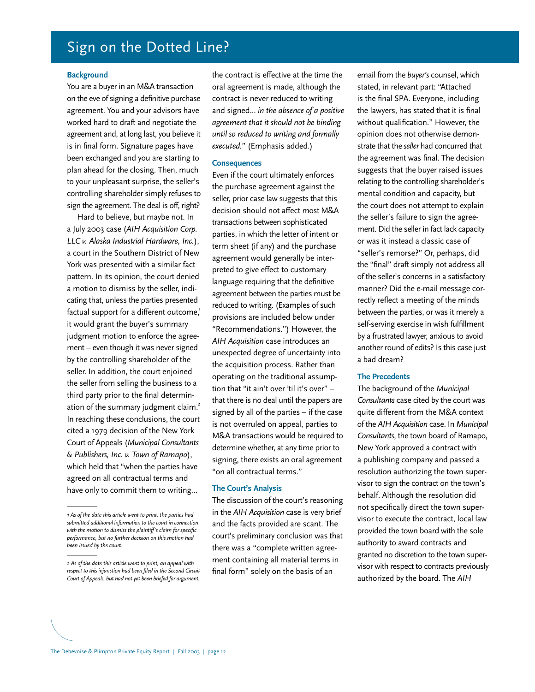## Sign on the Dotted Line?

#### **Background**

You are a buyer in an M&A transaction on the eve of signing a definitive purchase agreement. You and your advisors have worked hard to draft and negotiate the agreement and, at long last, you believe it is in final form. Signature pages have been exchanged and you are starting to plan ahead for the closing. Then, much to your unpleasant surprise, the seller's controlling shareholder simply refuses to sign the agreement. The deal is off, right?

Hard to believe, but maybe not. In a July 2003 case (*AIH Acquisition Corp. LLC v. Alaska Industrial Hardware, Inc.*), a court in the Southern District of New York was presented with a similar fact pattern. In its opinion, the court denied a motion to dismiss by the seller, indicating that, unless the parties presented factual support for a different outcome,<sup>1</sup> it would grant the buyer's summary judgment motion to enforce the agreement – even though it was never signed by the controlling shareholder of the seller. In addition, the court enjoined the seller from selling the business to a third party prior to the final determination of the summary judgment claim.<sup>2</sup> In reaching these conclusions, the court cited a 1979 decision of the New York Court of Appeals (*Municipal Consultants & Publishers, Inc. v. Town of Ramapo*), which held that "when the parties have agreed on all contractual terms and have only to commit them to writing…

the contract is effective at the time the oral agreement is made, although the contract is never reduced to writing and signed... *in the absence of a positive agreement that it should not be binding until so reduced to writing and formally executed.*" (Emphasis added.)

### **Consequences**

Even if the court ultimately enforces the purchase agreement against the seller, prior case law suggests that this decision should not affect most M&A transactions between sophisticated parties, in which the letter of intent or term sheet (if any) and the purchase agreement would generally be interpreted to give effect to customary language requiring that the definitive agreement between the parties must be reduced to writing. (Examples of such provisions are included below under "Recommendations.") However, the *AIH Acquisition* case introduces an unexpected degree of uncertainty into the acquisition process. Rather than operating on the traditional assumption that "it ain't over 'til it's over" – that there is no deal until the papers are signed by all of the parties – if the case is not overruled on appeal, parties to M&A transactions would be required to determine whether, at any time prior to signing, there exists an oral agreement "on all contractual terms."

### **The Court's Analysis**

The discussion of the court's reasoning in the *AIH Acquisition* case is very brief and the facts provided are scant. The court's preliminary conclusion was that there was a "complete written agreement containing all material terms in final form" solely on the basis of an

email from the *buyer's* counsel, which stated, in relevant part: "Attached is the final SPA. Everyone, including the lawyers, has stated that it is final without qualification." However, the opinion does not otherwise demonstrate that the *seller* had concurred that the agreement was final. The decision suggests that the buyer raised issues relating to the controlling shareholder's mental condition and capacity, but the court does not attempt to explain the seller's failure to sign the agreement. Did the seller in fact lack capacity or was it instead a classic case of "seller's remorse?" Or, perhaps, did the "final" draft simply not address all of the seller's concerns in a satisfactory manner? Did the e-mail message correctly reflect a meeting of the minds between the parties, or was it merely a self-serving exercise in wish fulfillment by a frustrated lawyer, anxious to avoid another round of edits? Is this case just a bad dream?

#### **The Precedents**

The background of the *Municipal Consultants* case cited by the court was quite different from the M&A context of the *AIH Acquisition* case. In *Municipal Consultants*, the town board of Ramapo, New York approved a contract with a publishing company and passed a resolution authorizing the town supervisor to sign the contract on the town's behalf. Although the resolution did not specifically direct the town supervisor to execute the contract, local law provided the town board with the sole authority to award contracts and granted no discretion to the town supervisor with respect to contracts previously authorized by the board. The *AIH*

*<sup>1</sup> As of the date this article went to print, the parties had submitted additional information to the court in connection with the motion to dismiss the plaintiff's claim for specific performance, but no further decision on this motion had been issued by the court.* 

*<sup>2</sup> As of the date this article went to print, an appeal with respect to this injunction had been filed in the Second Circuit Court of Appeals, but had not yet been briefed for argument.*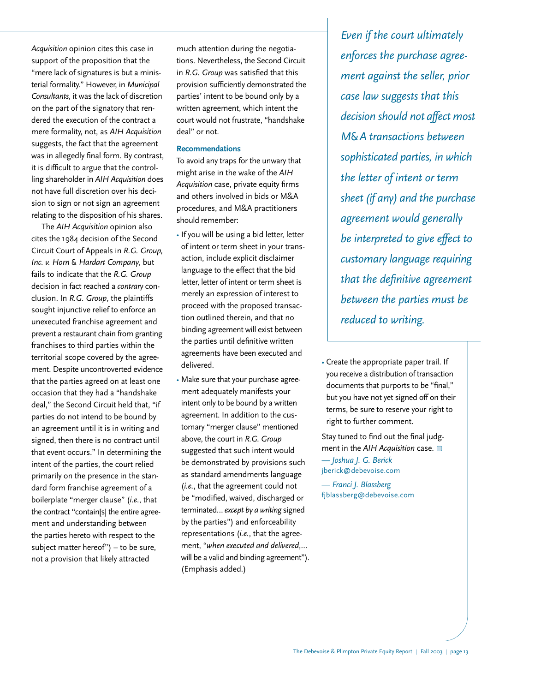*Acquisition* opinion cites this case in support of the proposition that the "mere lack of signatures is but a ministerial formality." However, in *Municipal Consultants*, it was the lack of discretion on the part of the signatory that rendered the execution of the contract a mere formality, not, as *AIH Acquisition* suggests, the fact that the agreement was in allegedly final form. By contrast, it is difficult to argue that the controlling shareholder in *AIH Acquisition* does not have full discretion over his decision to sign or not sign an agreement relating to the disposition of his shares.

The *AIH Acquisition* opinion also cites the 1984 decision of the Second Circuit Court of Appeals in *R.G. Group, Inc. v. Horn & Hardart Company*, but fails to indicate that the *R.G. Group* decision in fact reached a *contrary* conclusion. In *R.G. Group*, the plaintiffs sought injunctive relief to enforce an unexecuted franchise agreement and prevent a restaurant chain from granting franchises to third parties within the territorial scope covered by the agreement. Despite uncontroverted evidence that the parties agreed on at least one occasion that they had a "handshake deal," the Second Circuit held that, "if parties do not intend to be bound by an agreement until it is in writing and signed, then there is no contract until that event occurs." In determining the intent of the parties, the court relied primarily on the presence in the standard form franchise agreement of a boilerplate "merger clause" (*i.e.*, that the contract "contain[s] the entire agreement and understanding between the parties hereto with respect to the subject matter hereof") – to be sure, not a provision that likely attracted

much attention during the negotiations. Nevertheless, the Second Circuit in *R.G. Group* was satisfied that this provision sufficiently demonstrated the parties' intent to be bound only by a written agreement, which intent the court would not frustrate, "handshake deal" or not.

### **Recommendations**

To avoid any traps for the unwary that might arise in the wake of the *AIH Acquisition* case, private equity firms and others involved in bids or M&A procedures, and M&A practitioners should remember:

- If you will be using a bid letter, letter of intent or term sheet in your transaction, include explicit disclaimer language to the effect that the bid letter, letter of intent or term sheet is merely an expression of interest to proceed with the proposed transaction outlined therein, and that no binding agreement will exist between the parties until definitive written agreements have been executed and delivered.
- Make sure that your purchase agreement adequately manifests your intent only to be bound by a written agreement. In addition to the customary "merger clause" mentioned above, the court in *R.G. Group* suggested that such intent would be demonstrated by provisions such as standard amendments language (*i.e.*, that the agreement could not be "modified, waived, discharged or terminated… *except by a writing* signed by the parties") and enforceability representations (*i.e.*, that the agreement, "*when executed and delivered*,… will be a valid and binding agreement"). (Emphasis added.)

*Even if the court ultimately enforces the purchase agreement against the seller, prior case law suggests that this decision should not affect most M&A transactions between sophisticated parties, in which the letter of intent or term sheet (if any) and the purchase agreement would generally be interpreted to give effect to customary language requiring that the definitive agreement between the parties must be reduced to writing.*

• Create the appropriate paper trail. If you receive a distribution of transaction documents that purports to be "final," but you have not yet signed off on their terms, be sure to reserve your right to right to further comment.

Stay tuned to find out the final judgment in the *AIH Acquisition* case. *— Joshua J. G. Berick* jberick@debevoise.com

*— Franci J. Blassberg* fjblassberg@debevoise.com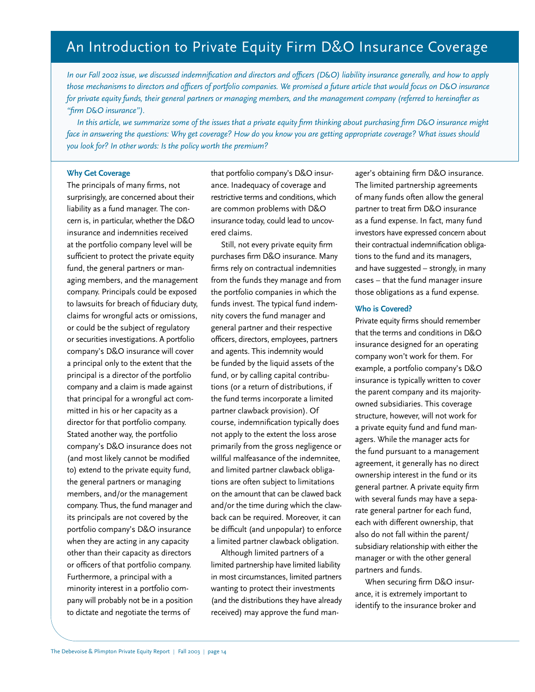## An Introduction to Private Equity Firm D&O Insurance Coverage

*In our Fall 2002 issue, we discussed indemnification and directors and officers (D&O) liability insurance generally, and how to apply those mechanisms to directors and officers of portfolio companies. We promised a future article that would focus on D&O insurance for private equity funds, their general partners or managing members, and the management company (referred to hereinafter as "firm D&O insurance").* 

*In this article, we summarize some of the issues that a private equity firm thinking about purchasing firm D&O insurance might face in answering the questions: Why get coverage? How do you know you are getting appropriate coverage? What issues should you look for? In other words: Is the policy worth the premium?*

### **Why Get Coverage**

The principals of many firms, not surprisingly, are concerned about their liability as a fund manager. The concern is, in particular, whether the D&O insurance and indemnities received at the portfolio company level will be sufficient to protect the private equity fund, the general partners or managing members, and the management company. Principals could be exposed to lawsuits for breach of fiduciary duty, claims for wrongful acts or omissions, or could be the subject of regulatory or securities investigations. A portfolio company's D&O insurance will cover a principal only to the extent that the principal is a director of the portfolio company and a claim is made against that principal for a wrongful act committed in his or her capacity as a director for that portfolio company. Stated another way, the portfolio company's D&O insurance does not (and most likely cannot be modified to) extend to the private equity fund, the general partners or managing members, and/or the management company. Thus, the fund manager and its principals are not covered by the portfolio company's D&O insurance when they are acting in any capacity other than their capacity as directors or officers of that portfolio company. Furthermore, a principal with a minority interest in a portfolio company will probably not be in a position to dictate and negotiate the terms of

that portfolio company's D&O insurance. Inadequacy of coverage and restrictive terms and conditions, which are common problems with D&O insurance today, could lead to uncovered claims.

Still, not every private equity firm purchases firm D&O insurance. Many firms rely on contractual indemnities from the funds they manage and from the portfolio companies in which the funds invest. The typical fund indemnity covers the fund manager and general partner and their respective officers, directors, employees, partners and agents. This indemnity would be funded by the liquid assets of the fund, or by calling capital contributions (or a return of distributions, if the fund terms incorporate a limited partner clawback provision). Of course, indemnification typically does not apply to the extent the loss arose primarily from the gross negligence or willful malfeasance of the indemnitee, and limited partner clawback obligations are often subject to limitations on the amount that can be clawed back and/or the time during which the clawback can be required. Moreover, it can be difficult (and unpopular) to enforce a limited partner clawback obligation.

Although limited partners of a limited partnership have limited liability in most circumstances, limited partners wanting to protect their investments (and the distributions they have already received) may approve the fund manager's obtaining firm D&O insurance. The limited partnership agreements of many funds often allow the general partner to treat firm D&O insurance as a fund expense. In fact, many fund investors have expressed concern about their contractual indemnification obligations to the fund and its managers, and have suggested – strongly, in many cases – that the fund manager insure those obligations as a fund expense.

### **Who is Covered?**

Private equity firms should remember that the terms and conditions in D&O insurance designed for an operating company won't work for them. For example, a portfolio company's D&O insurance is typically written to cover the parent company and its majorityowned subsidiaries. This coverage structure, however, will not work for a private equity fund and fund managers. While the manager acts for the fund pursuant to a management agreement, it generally has no direct ownership interest in the fund or its general partner. A private equity firm with several funds may have a separate general partner for each fund, each with different ownership, that also do not fall within the parent/ subsidiary relationship with either the manager or with the other general partners and funds.

When securing firm D&O insurance, it is extremely important to identify to the insurance broker and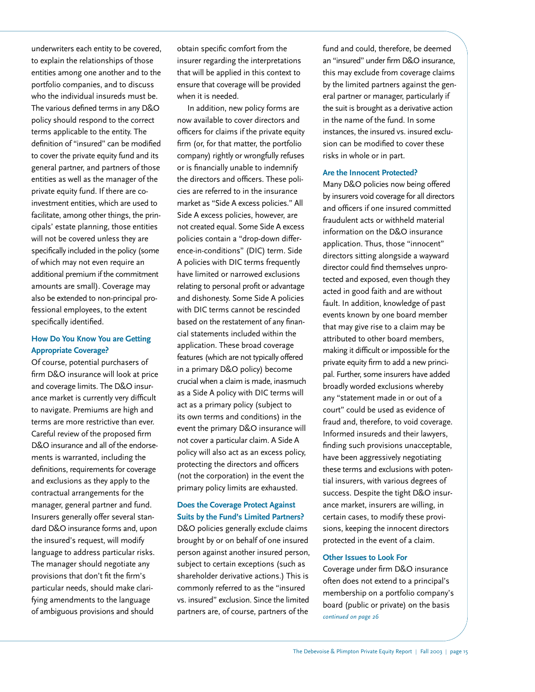underwriters each entity to be covered, to explain the relationships of those entities among one another and to the portfolio companies, and to discuss who the individual insureds must be. The various defined terms in any D&O policy should respond to the correct terms applicable to the entity. The definition of "insured" can be modified to cover the private equity fund and its general partner, and partners of those entities as well as the manager of the private equity fund. If there are coinvestment entities, which are used to facilitate, among other things, the principals' estate planning, those entities will not be covered unless they are specifically included in the policy (some of which may not even require an additional premium if the commitment amounts are small). Coverage may also be extended to non-principal professional employees, to the extent specifically identified.

### **How Do You Know You are Getting Appropriate Coverage?**

Of course, potential purchasers of firm D&O insurance will look at price and coverage limits. The D&O insurance market is currently very difficult to navigate. Premiums are high and terms are more restrictive than ever. Careful review of the proposed firm D&O insurance and all of the endorsements is warranted, including the definitions, requirements for coverage and exclusions as they apply to the contractual arrangements for the manager, general partner and fund. Insurers generally offer several standard D&O insurance forms and, upon the insured's request, will modify language to address particular risks. The manager should negotiate any provisions that don't fit the firm's particular needs, should make clarifying amendments to the language of ambiguous provisions and should

obtain specific comfort from the insurer regarding the interpretations that will be applied in this context to ensure that coverage will be provided when it is needed.

In addition, new policy forms are now available to cover directors and officers for claims if the private equity firm (or, for that matter, the portfolio company) rightly or wrongfully refuses or is financially unable to indemnify the directors and officers. These policies are referred to in the insurance market as "Side A excess policies." All Side A excess policies, however, are not created equal. Some Side A excess policies contain a "drop-down difference-in-conditions" (DIC) term. Side A policies with DIC terms frequently have limited or narrowed exclusions relating to personal profit or advantage and dishonesty. Some Side A policies with DIC terms cannot be rescinded based on the restatement of any financial statements included within the application. These broad coverage features (which are not typically offered in a primary D&O policy) become crucial when a claim is made, inasmuch as a Side A policy with DIC terms will act as a primary policy (subject to its own terms and conditions) in the event the primary D&O insurance will not cover a particular claim. A Side A policy will also act as an excess policy, protecting the directors and officers (not the corporation) in the event the primary policy limits are exhausted.

### **Does the Coverage Protect Against Suits by the Fund's Limited Partners?**

D&O policies generally exclude claims brought by or on behalf of one insured person against another insured person, subject to certain exceptions (such as shareholder derivative actions.) This is commonly referred to as the "insured vs. insured" exclusion. Since the limited partners are, of course, partners of the

fund and could, therefore, be deemed an "insured" under firm D&O insurance, this may exclude from coverage claims by the limited partners against the general partner or manager, particularly if the suit is brought as a derivative action in the name of the fund. In some instances, the insured vs. insured exclusion can be modified to cover these risks in whole or in part.

### **Are the Innocent Protected?**

Many D&O policies now being offered by insurers void coverage for all directors and officers if one insured committed fraudulent acts or withheld material information on the D&O insurance application. Thus, those "innocent" directors sitting alongside a wayward director could find themselves unprotected and exposed, even though they acted in good faith and are without fault. In addition, knowledge of past events known by one board member that may give rise to a claim may be attributed to other board members, making it difficult or impossible for the private equity firm to add a new principal. Further, some insurers have added broadly worded exclusions whereby any "statement made in or out of a court" could be used as evidence of fraud and, therefore, to void coverage. Informed insureds and their lawyers, finding such provisions unacceptable, have been aggressively negotiating these terms and exclusions with potential insurers, with various degrees of success. Despite the tight D&O insurance market, insurers are willing, in certain cases, to modify these provisions, keeping the innocent directors protected in the event of a claim.

### **Other Issues to Look For**

Coverage under firm D&O insurance often does not extend to a principal's membership on a portfolio company's board (public or private) on the basis *continued on page 26*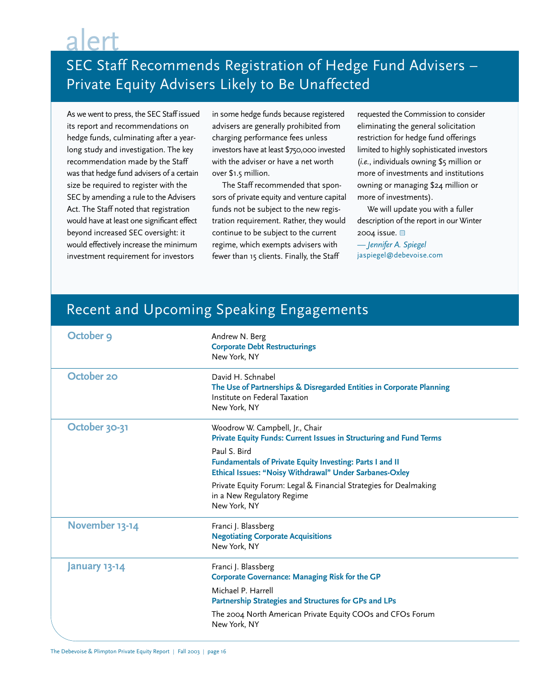# alert

# SEC Staff Recommends Registration of Hedge Fund Advisers – Private Equity Advisers Likely to Be Unaffected

As we went to press, the SEC Staff issued its report and recommendations on hedge funds, culminating after a yearlong study and investigation. The key recommendation made by the Staff was that hedge fund advisers of a certain size be required to register with the SEC by amending a rule to the Advisers Act. The Staff noted that registration would have at least one significant effect beyond increased SEC oversight: it would effectively increase the minimum investment requirement for investors

in some hedge funds because registered advisers are generally prohibited from charging performance fees unless investors have at least \$750,000 invested with the adviser or have a net worth over \$1.5 million.

The Staff recommended that sponsors of private equity and venture capital funds not be subject to the new registration requirement. Rather, they would continue to be subject to the current regime, which exempts advisers with fewer than 15 clients. Finally, the Staff

requested the Commission to consider eliminating the general solicitation restriction for hedge fund offerings limited to highly sophisticated investors (*i.e.*, individuals owning \$5 million or more of investments and institutions owning or managing \$24 million or more of investments).

We will update you with a fuller description of the report in our Winter 2004 issue. **0** 

*— Jennifer A. Spiegel* jaspiegel@debevoise.com

# Recent and Upcoming Speaking Engagements

| October 9            | Andrew N. Berg<br><b>Corporate Debt Restructurings</b><br>New York, NY                                                                     |
|----------------------|--------------------------------------------------------------------------------------------------------------------------------------------|
| October 20           | David H. Schnabel<br>The Use of Partnerships & Disregarded Entities in Corporate Planning<br>Institute on Federal Taxation<br>New York, NY |
| October 30-31        | Woodrow W. Campbell, Jr., Chair<br>Private Equity Funds: Current Issues in Structuring and Fund Terms                                      |
|                      | Paul S. Bird<br><b>Fundamentals of Private Equity Investing: Parts I and II</b><br>Ethical Issues: "Noisy Withdrawal" Under Sarbanes-Oxley |
|                      | Private Equity Forum: Legal & Financial Strategies for Dealmaking<br>in a New Regulatory Regime<br>New York, NY                            |
| November 13-14       | Franci J. Blassberg<br><b>Negotiating Corporate Acquisitions</b><br>New York, NY                                                           |
| <b>January 13-14</b> | Franci J. Blassberg<br><b>Corporate Governance: Managing Risk for the GP</b>                                                               |
|                      | Michael P. Harrell<br>Partnership Strategies and Structures for GPs and LPs                                                                |
|                      | The 2004 North American Private Equity COOs and CFOs Forum<br>New York, NY                                                                 |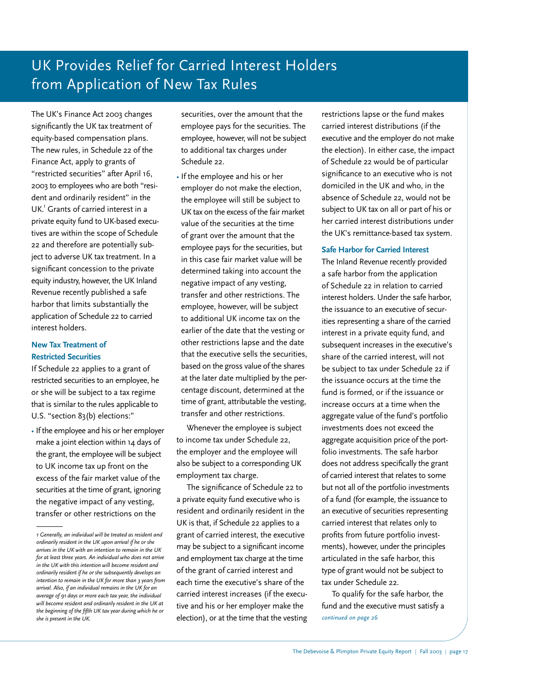# UK Provides Relief for Carried Interest Holders from Application of New Tax Rules

The UK's Finance Act 2003 changes significantly the UK tax treatment of equity-based compensation plans. The new rules, in Schedule 22 of the Finance Act, apply to grants of "restricted securities" after April 16, 2003 to employees who are both "resident and ordinarily resident" in the UK.<sup>1</sup> Grants of carried interest in a private equity fund to UK-based executives are within the scope of Schedule 22 and therefore are potentially subject to adverse UK tax treatment. In a significant concession to the private equity industry, however, the UK Inland Revenue recently published a safe harbor that limits substantially the application of Schedule 22 to carried interest holders.

### **New Tax Treatment of Restricted Securities**

If Schedule 22 applies to a grant of restricted securities to an employee, he or she will be subject to a tax regime that is similar to the rules applicable to U.S. "section 83(b) elections:"

• If the employee and his or her employer make a joint election within 14 days of the grant, the employee will be subject to UK income tax up front on the excess of the fair market value of the securities at the time of grant, ignoring the negative impact of any vesting, transfer or other restrictions on the

securities, over the amount that the employee pays for the securities. The employee, however, will not be subject to additional tax charges under Schedule 22.

• If the employee and his or her employer do not make the election, the employee will still be subject to UK tax on the excess of the fair market value of the securities at the time of grant over the amount that the employee pays for the securities, but in this case fair market value will be determined taking into account the negative impact of any vesting, transfer and other restrictions. The employee, however, will be subject to additional UK income tax on the earlier of the date that the vesting or other restrictions lapse and the date that the executive sells the securities, based on the gross value of the shares at the later date multiplied by the percentage discount, determined at the time of grant, attributable the vesting, transfer and other restrictions.

Whenever the employee is subject to income tax under Schedule 22, the employer and the employee will also be subject to a corresponding UK employment tax charge.

The significance of Schedule 22 to a private equity fund executive who is resident and ordinarily resident in the UK is that, if Schedule 22 applies to a grant of carried interest, the executive may be subject to a significant income and employment tax charge at the time of the grant of carried interest and each time the executive's share of the carried interest increases (if the executive and his or her employer make the election), or at the time that the vesting *she is present in the UK. continued on page 26*

restrictions lapse or the fund makes carried interest distributions (if the executive and the employer do not make the election). In either case, the impact of Schedule 22 would be of particular significance to an executive who is not domiciled in the UK and who, in the absence of Schedule 22, would not be subject to UK tax on all or part of his or her carried interest distributions under the UK's remittance-based tax system.

### **Safe Harbor for Carried Interest**

The Inland Revenue recently provided a safe harbor from the application of Schedule 22 in relation to carried interest holders. Under the safe harbor, the issuance to an executive of securities representing a share of the carried interest in a private equity fund, and subsequent increases in the executive's share of the carried interest, will not be subject to tax under Schedule 22 if the issuance occurs at the time the fund is formed, or if the issuance or increase occurs at a time when the aggregate value of the fund's portfolio investments does not exceed the aggregate acquisition price of the portfolio investments. The safe harbor does not address specifically the grant of carried interest that relates to some but not all of the portfolio investments of a fund (for example, the issuance to an executive of securities representing carried interest that relates only to profits from future portfolio investments), however, under the principles articulated in the safe harbor, this type of grant would not be subject to tax under Schedule 22.

To qualify for the safe harbor, the fund and the executive must satisfy a

*<sup>1</sup> Generally, an individual will be treated as resident and ordinarily resident in the UK upon arrival if he or she arrives in the UK with an intention to remain in the UK for at least three years. An individual who does not arrive in the UK with this intention will become resident and ordinarily resident if he or she subsequently develops an intention to remain in the UK for more than 3 years from arrival. Also, if an individual remains in the UK for an average of 91 days or more each tax year, the individual will become resident and ordinarily resident in the UK at the beginning of the fifth UK tax year during which he or*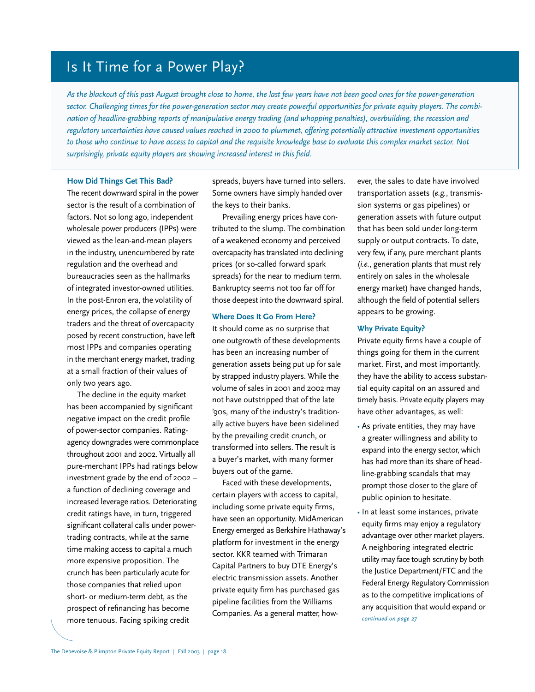## Is It Time for a Power Play?

*As the blackout of this past August brought close to home, the last few years have not been good ones for the power-generation sector. Challenging times for the power-generation sector may create powerful opportunities for private equity players. The combination of headline-grabbing reports of manipulative energy trading (and whopping penalties), overbuilding, the recession and regulatory uncertainties have caused values reached in 2000 to plummet, offering potentially attractive investment opportunities to those who continue to have access to capital and the requisite knowledge base to evaluate this complex market sector. Not surprisingly, private equity players are showing increased interest in this field.*

### **How Did Things Get This Bad?**

The recent downward spiral in the power sector is the result of a combination of factors. Not so long ago, independent wholesale power producers (IPPs) were viewed as the lean-and-mean players in the industry, unencumbered by rate regulation and the overhead and bureaucracies seen as the hallmarks of integrated investor-owned utilities. In the post-Enron era, the volatility of energy prices, the collapse of energy traders and the threat of overcapacity posed by recent construction, have left most IPPs and companies operating in the merchant energy market, trading at a small fraction of their values of only two years ago.

The decline in the equity market has been accompanied by significant negative impact on the credit profile of power-sector companies. Ratingagency downgrades were commonplace throughout 2001 and 2002. Virtually all pure-merchant IPPs had ratings below investment grade by the end of 2002 – a function of declining coverage and increased leverage ratios. Deteriorating credit ratings have, in turn, triggered significant collateral calls under powertrading contracts, while at the same time making access to capital a much more expensive proposition. The crunch has been particularly acute for those companies that relied upon short- or medium-term debt, as the prospect of refinancing has become more tenuous. Facing spiking credit

spreads, buyers have turned into sellers. Some owners have simply handed over the keys to their banks.

Prevailing energy prices have contributed to the slump. The combination of a weakened economy and perceived overcapacity has translated into declining prices (or so-called forward spark spreads) for the near to medium term. Bankruptcy seems not too far off for those deepest into the downward spiral.

### **Where Does It Go From Here?**

It should come as no surprise that one outgrowth of these developments has been an increasing number of generation assets being put up for sale by strapped industry players. While the volume of sales in 2001 and 2002 may not have outstripped that of the late '90s, many of the industry's traditionally active buyers have been sidelined by the prevailing credit crunch, or transformed into sellers. The result is a buyer's market, with many former buyers out of the game.

Faced with these developments, certain players with access to capital, including some private equity firms, have seen an opportunity. MidAmerican Energy emerged as Berkshire Hathaway's platform for investment in the energy sector. KKR teamed with Trimaran Capital Partners to buy DTE Energy's electric transmission assets. Another private equity firm has purchased gas pipeline facilities from the Williams Companies. As a general matter, however, the sales to date have involved transportation assets (*e.g.*, transmission systems or gas pipelines) or generation assets with future output that has been sold under long-term supply or output contracts. To date, very few, if any, pure merchant plants (*i.e.*, generation plants that must rely entirely on sales in the wholesale energy market) have changed hands, although the field of potential sellers appears to be growing.

### **Why Private Equity?**

Private equity firms have a couple of things going for them in the current market. First, and most importantly, they have the ability to access substantial equity capital on an assured and timely basis. Private equity players may have other advantages, as well:

- As private entities, they may have a greater willingness and ability to expand into the energy sector, which has had more than its share of headline-grabbing scandals that may prompt those closer to the glare of public opinion to hesitate.
- In at least some instances, private equity firms may enjoy a regulatory advantage over other market players. A neighboring integrated electric utility may face tough scrutiny by both the Justice Department/FTC and the Federal Energy Regulatory Commission as to the competitive implications of any acquisition that would expand or *continued on page 27*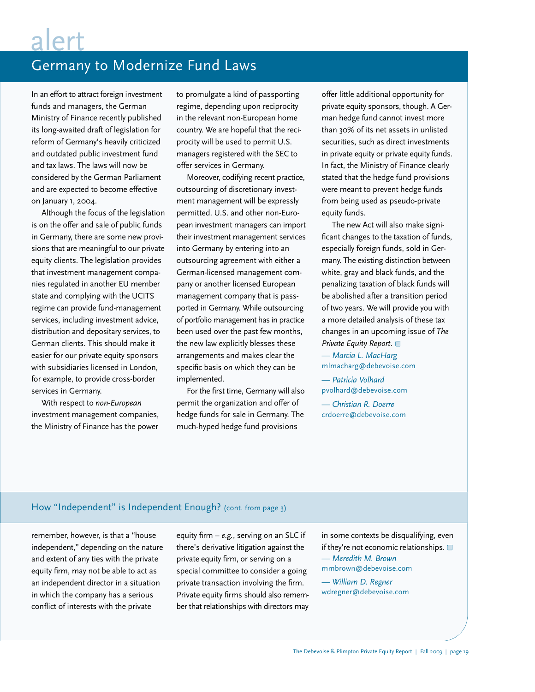# alert

# Germany to Modernize Fund Laws

In an effort to attract foreign investment funds and managers, the German Ministry of Finance recently published its long-awaited draft of legislation for reform of Germany's heavily criticized and outdated public investment fund and tax laws. The laws will now be considered by the German Parliament and are expected to become effective on January 1, 2004.

Although the focus of the legislation is on the offer and sale of public funds in Germany, there are some new provisions that are meaningful to our private equity clients. The legislation provides that investment management companies regulated in another EU member state and complying with the UCITS regime can provide fund-management services, including investment advice, distribution and depositary services, to German clients. This should make it easier for our private equity sponsors with subsidiaries licensed in London, for example, to provide cross-border services in Germany.

With respect to *non-European* investment management companies, the Ministry of Finance has the power to promulgate a kind of passporting regime, depending upon reciprocity in the relevant non-European home country. We are hopeful that the reciprocity will be used to permit U.S. managers registered with the SEC to offer services in Germany.

Moreover, codifying recent practice, outsourcing of discretionary investment management will be expressly permitted. U.S. and other non-European investment managers can import their investment management services into Germany by entering into an outsourcing agreement with either a German-licensed management company or another licensed European management company that is passported in Germany. While outsourcing of portfolio management has in practice been used over the past few months, the new law explicitly blesses these arrangements and makes clear the specific basis on which they can be implemented.

For the first time, Germany will also permit the organization and offer of hedge funds for sale in Germany. The much-hyped hedge fund provisions

offer little additional opportunity for private equity sponsors, though. A German hedge fund cannot invest more than 30% of its net assets in unlisted securities, such as direct investments in private equity or private equity funds. In fact, the Ministry of Finance clearly stated that the hedge fund provisions were meant to prevent hedge funds from being used as pseudo-private equity funds.

The new Act will also make significant changes to the taxation of funds, especially foreign funds, sold in Germany. The existing distinction between white, gray and black funds, and the penalizing taxation of black funds will be abolished after a transition period of two years. We will provide you with a more detailed analysis of these tax changes in an upcoming issue of *The Private Equity Report*.

*— Marcia L. MacHarg* mlmacharg@debevoise.com

*— Patricia Volhard* pvolhard@debevoise.com

*— Christian R. Doerre* crdoerre@debevoise.com

## How "Independent" is Independent Enough? (cont. from page 3)

remember, however, is that a "house independent," depending on the nature and extent of any ties with the private equity firm, may not be able to act as an independent director in a situation in which the company has a serious conflict of interests with the private

equity firm – *e.g.*, serving on an SLC if there's derivative litigation against the private equity firm, or serving on a special committee to consider a going private transaction involving the firm. Private equity firms should also remember that relationships with directors may in some contexts be disqualifying, even if they're not economic relationships. *— Meredith M. Brown* mmbrown@debevoise.com

*— William D. Regner* wdregner@debevoise.com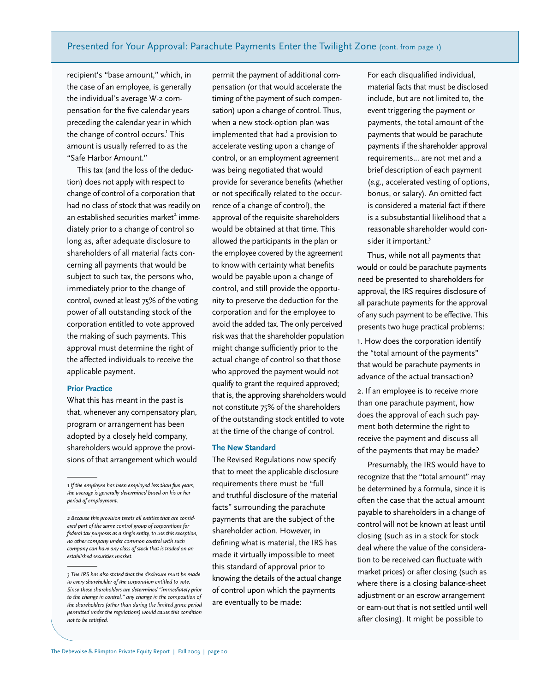### Presented for Your Approval: Parachute Payments Enter the Twilight Zone (cont. from page 1)

recipient's "base amount," which, in the case of an employee, is generally the individual's average W-2 compensation for the five calendar years preceding the calendar year in which the change of control occurs.<sup>1</sup> This amount is usually referred to as the "Safe Harbor Amount."

This tax (and the loss of the deduction) does not apply with respect to change of control of a corporation that had no class of stock that was readily on an established securities market $2$  immediately prior to a change of control so long as, after adequate disclosure to shareholders of all material facts concerning all payments that would be subject to such tax, the persons who, immediately prior to the change of control, owned at least 75% of the voting power of all outstanding stock of the corporation entitled to vote approved the making of such payments. This approval must determine the right of the affected individuals to receive the applicable payment.

### **Prior Practice**

What this has meant in the past is that, whenever any compensatory plan, program or arrangement has been adopted by a closely held company, shareholders would approve the provisions of that arrangement which would

permit the payment of additional compensation (or that would accelerate the timing of the payment of such compensation) upon a change of control. Thus, when a new stock-option plan was implemented that had a provision to accelerate vesting upon a change of control, or an employment agreement was being negotiated that would provide for severance benefits (whether or not specifically related to the occurrence of a change of control), the approval of the requisite shareholders would be obtained at that time. This allowed the participants in the plan or the employee covered by the agreement to know with certainty what benefits would be payable upon a change of control, and still provide the opportunity to preserve the deduction for the corporation and for the employee to avoid the added tax. The only perceived risk was that the shareholder population might change sufficiently prior to the actual change of control so that those who approved the payment would not qualify to grant the required approved; that is, the approving shareholders would not constitute 75% of the shareholders of the outstanding stock entitled to vote at the time of the change of control.

### **The New Standard**

The Revised Regulations now specify that to meet the applicable disclosure requirements there must be "full and truthful disclosure of the material facts" surrounding the parachute payments that are the subject of the shareholder action. However, in defining what is material, the IRS has made it virtually impossible to meet this standard of approval prior to knowing the details of the actual change of control upon which the payments are eventually to be made:

For each disqualified individual, material facts that must be disclosed include, but are not limited to, the event triggering the payment or payments, the total amount of the payments that would be parachute payments if the shareholder approval requirements... are not met and a brief description of each payment (*e.g.*, accelerated vesting of options, bonus, or salary). An omitted fact is considered a material fact if there is a subsubstantial likelihood that a reasonable shareholder would consider it important.<sup>3</sup>

Thus, while not all payments that would or could be parachute payments need be presented to shareholders for approval, the IRS requires disclosure of all parachute payments for the approval of any such payment to be effective. This presents two huge practical problems:

1. How does the corporation identify the "total amount of the payments" that would be parachute payments in advance of the actual transaction?

2. If an employee is to receive more than one parachute payment, how does the approval of each such payment both determine the right to receive the payment and discuss all of the payments that may be made?

Presumably, the IRS would have to recognize that the "total amount" may be determined by a formula, since it is often the case that the actual amount payable to shareholders in a change of control will not be known at least until closing (such as in a stock for stock deal where the value of the consideration to be received can fluctuate with market prices) or after closing (such as where there is a closing balance-sheet adjustment or an escrow arrangement or earn-out that is not settled until well after closing). It might be possible to

*<sup>1</sup> If the employee has been employed less than five years, the average is generally determined based on his or her period of employment.*

*<sup>2</sup> Because this provision treats all entities that are considered part of the same control group of corporations for federal tax purposes as a single entity, to use this exception, no other company under common control with such company can have any class of stock that is traded on an established securities market.* 

*<sup>3</sup> The IRS has also stated that the disclosure must be made to every shareholder of the corporation entitled to vote. Since these shareholders are determined "immediately prior to the change in control," any change in the composition of the shareholders (other than during the limited grace period permitted under the regulations) would cause this condition not to be satisfied.*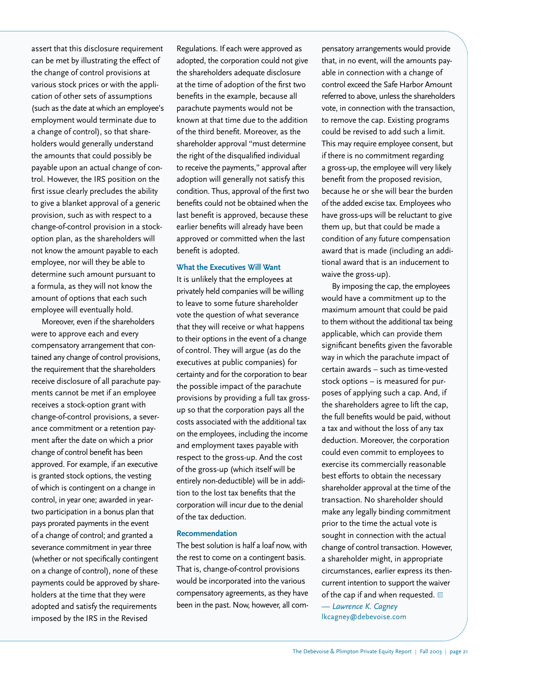assert that this disclosure requirement can be met by illustrating the effect of the change of control provisions at various stock prices or with the application of other sets of assumptions (such as the date at which an employee's employment would terminate due to a change of control), so that shareholders would generally understand the amounts that could possibly be payable upon an actual change of control. However, the IRS position on the first issue clearly precludes the ability to give a blanket approval of a generic provision, such as with respect to a change-of-control provision in a stockoption plan, as the shareholders will not know the amount payable to each employee, nor will they be able to determine such amount pursuant to a formula, as they will not know the amount of options that each such employee will eventually hold.

Moreover, even if the shareholders were to approve each and every compensatory arrangement that contained any change of control provisions, the requirement that the shareholders receive disclosure of all parachute payments cannot be met if an employee receives a stock-option grant with change-of-control provisions, a severance commitment or a retention payment after the date on which a prior change of control benefit has been approved. For example, if an executive is granted stock options, the vesting of which is contingent on a change in control, in year one; awarded in yeartwo participation in a bonus plan that pays prorated payments in the event of a change of control; and granted a severance commitment in year three (whether or not specifically contingent on a change of control), none of these payments could be approved by shareholders at the time that they were adopted and satisfy the requirements imposed by the IRS in the Revised

Regulations. If each were approved as adopted, the corporation could not give the shareholders adequate disclosure at the time of adoption of the first two benefits in the example, because all parachute payments would not be known at that time due to the addition of the third benefit. Moreover, as the shareholder approval "must determine the right of the disqualified individual to receive the payments," approval after adoption will generally not satisfy this condition. Thus, approval of the first two benefits could not be obtained when the last benefit is approved, because these earlier benefits will already have been approved or committed when the last benefit is adopted.

#### **What the Executives Will Want**

It is unlikely that the employees at privately held companies will be willing to leave to some future shareholder vote the question of what severance that they will receive or what happens to their options in the event of a change of control. They will argue (as do the executives at public companies) for certainty and for the corporation to bear the possible impact of the parachute provisions by providing a full tax grossup so that the corporation pays all the costs associated with the additional tax on the employees, including the income and employment taxes payable with respect to the gross-up. And the cost of the gross-up (which itself will be entirely non-deductible) will be in addition to the lost tax benefits that the corporation will incur due to the denial of the tax deduction.

#### **Recommendation**

The best solution is half a loaf now, with the rest to come on a contingent basis. That is, change-of-control provisions would be incorporated into the various compensatory agreements, as they have been in the past. Now, however, all com-

pensatory arrangements would provide that, in no event, will the amounts payable in connection with a change of control exceed the Safe Harbor Amount referred to above, unless the shareholders vote, in connection with the transaction, to remove the cap. Existing programs could be revised to add such a limit. This may require employee consent, but if there is no commitment regarding a gross-up, the employee will very likely benefit from the proposed revision, because he or she will bear the burden of the added excise tax. Employees who have gross-ups will be reluctant to give them up, but that could be made a condition of any future compensation award that is made (including an additional award that is an inducement to waive the gross-up).

By imposing the cap, the employees would have a commitment up to the maximum amount that could be paid to them without the additional tax being applicable, which can provide them significant benefits given the favorable way in which the parachute impact of certain awards – such as time-vested stock options – is measured for purposes of applying such a cap. And, if the shareholders agree to lift the cap, the full benefits would be paid, without a tax and without the loss of any tax deduction. Moreover, the corporation could even commit to employees to exercise its commercially reasonable best efforts to obtain the necessary shareholder approval at the time of the transaction. No shareholder should make any legally binding commitment prior to the time the actual vote is sought in connection with the actual change of control transaction. However, a shareholder might, in appropriate circumstances, earlier express its thencurrent intention to support the waiver of the cap if and when requested.  $\blacksquare$ 

*— Lawrence K. Cagney* lkcagney@debevoise.com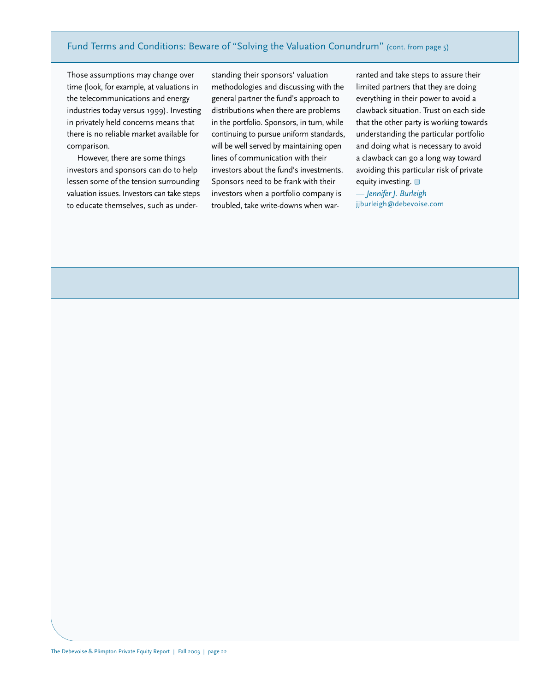### Fund Terms and Conditions: Beware of "Solving the Valuation Conundrum" (cont. from page 5)

Those assumptions may change over time (look, for example, at valuations in the telecommunications and energy industries today versus 1999). Investing in privately held concerns means that there is no reliable market available for comparison.

However, there are some things investors and sponsors can do to help lessen some of the tension surrounding valuation issues. Investors can take steps to educate themselves, such as under-

standing their sponsors' valuation methodologies and discussing with the general partner the fund's approach to distributions when there are problems in the portfolio. Sponsors, in turn, while continuing to pursue uniform standards, will be well served by maintaining open lines of communication with their investors about the fund's investments. Sponsors need to be frank with their investors when a portfolio company is troubled, take write-downs when warranted and take steps to assure their limited partners that they are doing everything in their power to avoid a clawback situation. Trust on each side that the other party is working towards understanding the particular portfolio and doing what is necessary to avoid a clawback can go a long way toward avoiding this particular risk of private equity investing.

*— Jennifer J. Burleigh* jjburleigh@debevoise.com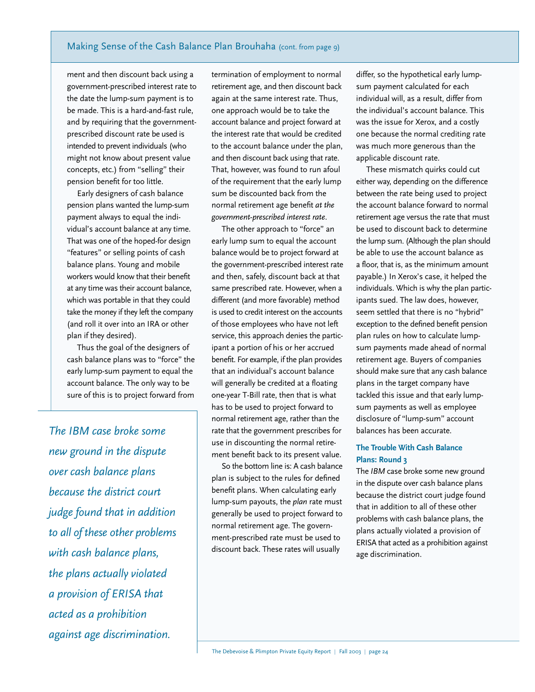ment and then discount back using a government-prescribed interest rate to the date the lump-sum payment is to be made. This is a hard-and-fast rule, and by requiring that the governmentprescribed discount rate be used is intended to prevent individuals (who might not know about present value concepts, etc.) from "selling" their pension benefit for too little.

Early designers of cash balance pension plans wanted the lump-sum payment always to equal the individual's account balance at any time. That was one of the hoped-for design "features" or selling points of cash balance plans. Young and mobile workers would know that their benefit at any time was their account balance, which was portable in that they could take the money if they left the company (and roll it over into an IRA or other plan if they desired).

Thus the goal of the designers of cash balance plans was to "force" the early lump-sum payment to equal the account balance. The only way to be sure of this is to project forward from

*The IBM case broke some new ground in the dispute over cash balance plans because the district court judge found that in addition to all of these other problems with cash balance plans, the plans actually violated a provision of ERISA that acted as a prohibition against age discrimination.*

termination of employment to normal retirement age, and then discount back again at the same interest rate. Thus, one approach would be to take the account balance and project forward at the interest rate that would be credited to the account balance under the plan, and then discount back using that rate. That, however, was found to run afoul of the requirement that the early lump sum be discounted back from the normal retirement age benefit *at the government-prescribed interest rate*.

The other approach to "force" an early lump sum to equal the account balance would be to project forward at the government-prescribed interest rate and then, safely, discount back at that same prescribed rate. However, when a different (and more favorable) method is used to credit interest on the accounts of those employees who have not left service, this approach denies the participant a portion of his or her accrued benefit. For example, if the plan provides that an individual's account balance will generally be credited at a floating one-year T-Bill rate, then that is what has to be used to project forward to normal retirement age, rather than the rate that the government prescribes for use in discounting the normal retirement benefit back to its present value.

So the bottom line is: A cash balance plan is subject to the rules for defined benefit plans. When calculating early lump-sum payouts, the *plan* rate must generally be used to project forward to normal retirement age. The government-prescribed rate must be used to discount back. These rates will usually

differ, so the hypothetical early lumpsum payment calculated for each individual will, as a result, differ from the individual's account balance. This was the issue for Xerox, and a costly one because the normal crediting rate was much more generous than the applicable discount rate.

These mismatch quirks could cut either way, depending on the difference between the rate being used to project the account balance forward to normal retirement age versus the rate that must be used to discount back to determine the lump sum. (Although the plan should be able to use the account balance as a floor, that is, as the minimum amount payable.) In Xerox's case, it helped the individuals. Which is why the plan participants sued. The law does, however, seem settled that there is no "hybrid" exception to the defined benefit pension plan rules on how to calculate lumpsum payments made ahead of normal retirement age. Buyers of companies should make sure that any cash balance plans in the target company have tackled this issue and that early lumpsum payments as well as employee disclosure of "lump-sum" account balances has been accurate.

### **The Trouble With Cash Balance Plans: Round 3**

The *IBM* case broke some new ground in the dispute over cash balance plans because the district court judge found that in addition to all of these other problems with cash balance plans, the plans actually violated a provision of ERISA that acted as a prohibition against age discrimination.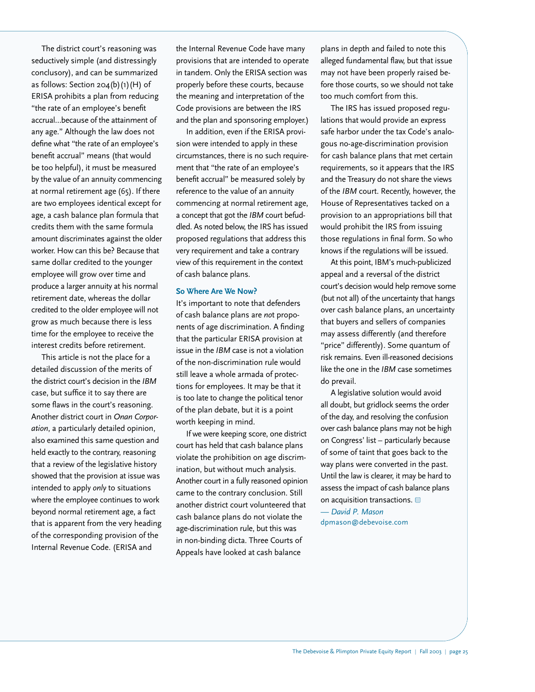The district court's reasoning was seductively simple (and distressingly conclusory), and can be summarized as follows: Section 204(b)(1)(H) of ERISA prohibits a plan from reducing "the rate of an employee's benefit accrual…because of the attainment of any age." Although the law does not define what "the rate of an employee's benefit accrual" means (that would be too helpful), it must be measured by the value of an annuity commencing at normal retirement age (65). If there are two employees identical except for age, a cash balance plan formula that credits them with the same formula amount discriminates against the older worker. How can this be? Because that same dollar credited to the younger employee will grow over time and produce a larger annuity at his normal retirement date, whereas the dollar credited to the older employee will not grow as much because there is less time for the employee to receive the interest credits before retirement.

This article is not the place for a detailed discussion of the merits of the district court's decision in the *IBM* case, but suffice it to say there are some flaws in the court's reasoning. Another district court in *Onan Corporation*, a particularly detailed opinion, also examined this same question and held exactly to the contrary, reasoning that a review of the legislative history showed that the provision at issue was intended to apply *only* to situations where the employee continues to work beyond normal retirement age, a fact that is apparent from the very heading of the corresponding provision of the Internal Revenue Code. (ERISA and

the Internal Revenue Code have many provisions that are intended to operate in tandem. Only the ERISA section was properly before these courts, because the meaning and interpretation of the Code provisions are between the IRS and the plan and sponsoring employer.)

In addition, even if the ERISA provision were intended to apply in these circumstances, there is no such requirement that "the rate of an employee's benefit accrual" be measured solely by reference to the value of an annuity commencing at normal retirement age, a concept that got the *IBM* court befuddled. As noted below, the IRS has issued proposed regulations that address this very requirement and take a contrary view of this requirement in the context of cash balance plans.

#### **So Where Are We Now?**

It's important to note that defenders of cash balance plans are *no*t proponents of age discrimination. A finding that the particular ERISA provision at issue in the *IBM* case is not a violation of the non-discrimination rule would still leave a whole armada of protections for employees. It may be that it is too late to change the political tenor of the plan debate, but it is a point worth keeping in mind.

If we were keeping score, one district court has held that cash balance plans violate the prohibition on age discrimination, but without much analysis. Another court in a fully reasoned opinion came to the contrary conclusion. Still another district court volunteered that cash balance plans do not violate the age-discrimination rule, but this was in non-binding dicta. Three Courts of Appeals have looked at cash balance

plans in depth and failed to note this alleged fundamental flaw, but that issue may not have been properly raised before those courts, so we should not take too much comfort from this.

The IRS has issued proposed regulations that would provide an express safe harbor under the tax Code's analogous no-age-discrimination provision for cash balance plans that met certain requirements, so it appears that the IRS and the Treasury do not share the views of the *IBM* court. Recently, however, the House of Representatives tacked on a provision to an appropriations bill that would prohibit the IRS from issuing those regulations in final form. So who knows if the regulations will be issued.

At this point, IBM's much-publicized appeal and a reversal of the district court's decision would help remove some (but not all) of the uncertainty that hangs over cash balance plans, an uncertainty that buyers and sellers of companies may assess differently (and therefore "price" differently). Some quantum of risk remains. Even ill-reasoned decisions like the one in the *IBM* case sometimes do prevail.

A legislative solution would avoid all doubt, but gridlock seems the order of the day, and resolving the confusion over cash balance plans may not be high on Congress' list – particularly because of some of taint that goes back to the way plans were converted in the past. Until the law is clearer, it may be hard to assess the impact of cash balance plans on acquisition transactions.

*— David P. Mason* dpmason@debevoise.com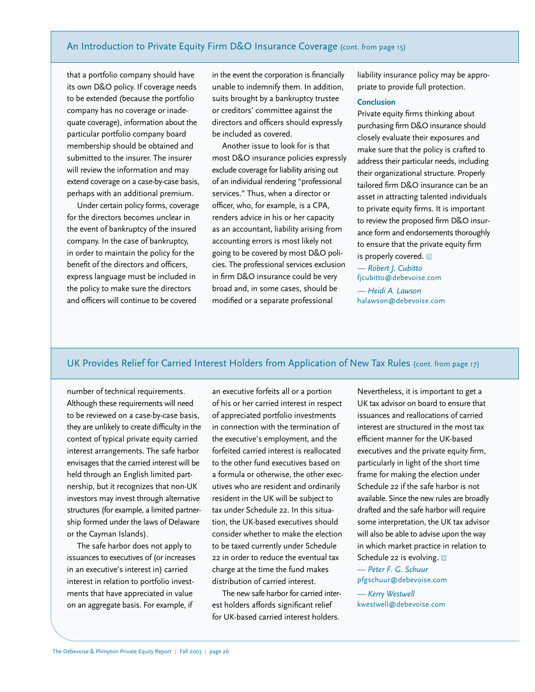### An Introduction to Private Equity Firm D&O Insurance Coverage (cont. from page 15)

that a portfolio company should have its own D&O policy. If coverage needs to be extended (because the portfolio company has no coverage or inadequate coverage), information about the particular portfolio company board membership should be obtained and submitted to the insurer. The insurer will review the information and may extend coverage on a case-by-case basis, perhaps with an additional premium.

Under certain policy forms, coverage for the directors becomes unclear in the event of bankruptcy of the insured company. In the case of bankruptcy, in order to maintain the policy for the benefit of the directors and officers, express language must be included in the policy to make sure the directors and officers will continue to be covered

in the event the corporation is financially unable to indemnify them. In addition, suits brought by a bankruptcy trustee or creditors' committee against the directors and officers should expressly be included as covered.

Another issue to look for is that most D&O insurance policies expressly exclude coverage for liability arising out of an individual rendering "professional services." Thus, when a director or officer, who, for example, is a CPA, renders advice in his or her capacity as an accountant, liability arising from accounting errors is most likely not going to be covered by most D&O policies. The professional services exclusion in firm D&O insurance could be very broad and, in some cases, should be modified or a separate professional

liability insurance policy may be appropriate to provide full protection.

### **Conclusion**

Private equity firms thinking about purchasing firm D&O insurance should closely evaluate their exposures and make sure that the policy is crafted to address their particular needs, including their organizational structure. Properly tailored firm D&O insurance can be an asset in attracting talented individuals to private equity firms. It is important to review the proposed firm D&O insurance form and endorsements thoroughly to ensure that the private equity firm is properly covered.

*— Robert J. Cubitto* fjcubitto@debevoise.com

*— Heidi A. Lawson* halawson@debevoise.com

### UK Provides Relief for Carried Interest Holders from Application of New Tax Rules (cont. from page 17)

number of technical requirements. Although these requirements will need to be reviewed on a case-by-case basis, they are unlikely to create difficulty in the context of typical private equity carried interest arrangements. The safe harbor envisages that the carried interest will be held through an English limited partnership, but it recognizes that non-UK investors may invest through alternative structures (for example, a limited partnership formed under the laws of Delaware or the Cayman Islands).

The safe harbor does not apply to issuances to executives of (or increases in an executive's interest in) carried interest in relation to portfolio investments that have appreciated in value on an aggregate basis. For example, if

an executive forfeits all or a portion of his or her carried interest in respect of appreciated portfolio investments in connection with the termination of the executive's employment, and the forfeited carried interest is reallocated to the other fund executives based on a formula or otherwise, the other executives who are resident and ordinarily resident in the UK will be subject to tax under Schedule 22. In this situation, the UK-based executives should consider whether to make the election to be taxed currently under Schedule 22 in order to reduce the eventual tax charge at the time the fund makes distribution of carried interest.

The new safe harbor for carried interest holders affords significant relief for UK-based carried interest holders.

Nevertheless, it is important to get a UK tax advisor on board to ensure that issuances and reallocations of carried interest are structured in the most tax efficient manner for the UK-based executives and the private equity firm, particularly in light of the short time frame for making the election under Schedule 22 if the safe harbor is not available. Since the new rules are broadly drafted and the safe harbor will require some interpretation, the UK tax advisor will also be able to advise upon the way in which market practice in relation to Schedule 22 is evolving.

*— Peter F. G. Schuur* pfgschuur@debevoise.com

*— Kerry Westwell* kwestwell@debevoise.com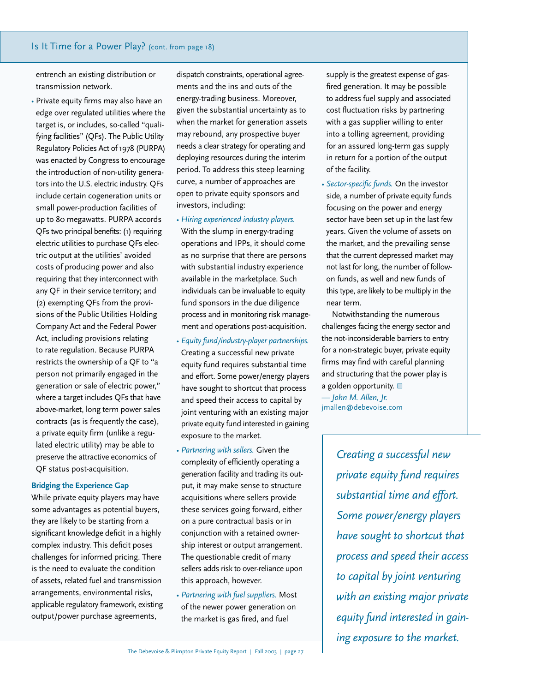### Is It Time for a Power Play? (cont. from page 18)

entrench an existing distribution or transmission network.

• Private equity firms may also have an edge over regulated utilities where the target is, or includes, so-called "qualifying facilities" (QFs). The Public Utility Regulatory Policies Act of 1978 (PURPA) was enacted by Congress to encourage the introduction of non-utility generators into the U.S. electric industry. QFs include certain cogeneration units or small power-production facilities of up to 80 megawatts. PURPA accords QFs two principal benefits: (1) requiring electric utilities to purchase QFs electric output at the utilities' avoided costs of producing power and also requiring that they interconnect with any QF in their service territory; and (2) exempting QFs from the provisions of the Public Utilities Holding Company Act and the Federal Power Act, including provisions relating to rate regulation. Because PURPA restricts the ownership of a QF to "a person not primarily engaged in the generation or sale of electric power," where a target includes QFs that have above-market, long term power sales contracts (as is frequently the case), a private equity firm (unlike a regulated electric utility) may be able to preserve the attractive economics of QF status post-acquisition.

### **Bridging the Experience Gap**

While private equity players may have some advantages as potential buyers, they are likely to be starting from a significant knowledge deficit in a highly complex industry. This deficit poses challenges for informed pricing. There is the need to evaluate the condition of assets, related fuel and transmission arrangements, environmental risks, applicable regulatory framework, existing output/power purchase agreements,

dispatch constraints, operational agreements and the ins and outs of the energy-trading business. Moreover, given the substantial uncertainty as to when the market for generation assets may rebound, any prospective buyer needs a clear strategy for operating and deploying resources during the interim period. To address this steep learning curve, a number of approaches are open to private equity sponsors and investors, including:

- *Hiring experienced industry players.* With the slump in energy-trading operations and IPPs, it should come as no surprise that there are persons with substantial industry experience available in the marketplace. Such individuals can be invaluable to equity fund sponsors in the due diligence process and in monitoring risk management and operations post-acquisition.
- *Equity fund/industry-player partnerships.* Creating a successful new private equity fund requires substantial time and effort. Some power/energy players have sought to shortcut that process and speed their access to capital by joint venturing with an existing major private equity fund interested in gaining exposure to the market.
- *Partnering with sellers.* Given the complexity of efficiently operating a generation facility and trading its output, it may make sense to structure acquisitions where sellers provide these services going forward, either on a pure contractual basis or in conjunction with a retained ownership interest or output arrangement. The questionable credit of many sellers adds risk to over-reliance upon this approach, however.
- *Partnering with fuel suppliers.* Most of the newer power generation on the market is gas fired, and fuel

supply is the greatest expense of gasfired generation. It may be possible to address fuel supply and associated cost fluctuation risks by partnering with a gas supplier willing to enter into a tolling agreement, providing for an assured long-term gas supply in return for a portion of the output of the facility.

• *Sector-specific funds.* On the investor side, a number of private equity funds focusing on the power and energy sector have been set up in the last few years. Given the volume of assets on the market, and the prevailing sense that the current depressed market may not last for long, the number of followon funds, as well and new funds of this type, are likely to be multiply in the near term.

Notwithstanding the numerous challenges facing the energy sector and the not-inconsiderable barriers to entry for a non-strategic buyer, private equity firms may find with careful planning and structuring that the power play is a golden opportunity. *— John M. Allen, Jr.* jmallen@debevoise.com

> *Creating a successful new private equity fund requires substantial time and effort. Some power/energy players have sought to shortcut that process and speed their access to capital by joint venturing with an existing major private equity fund interested in gaining exposure to the market.*